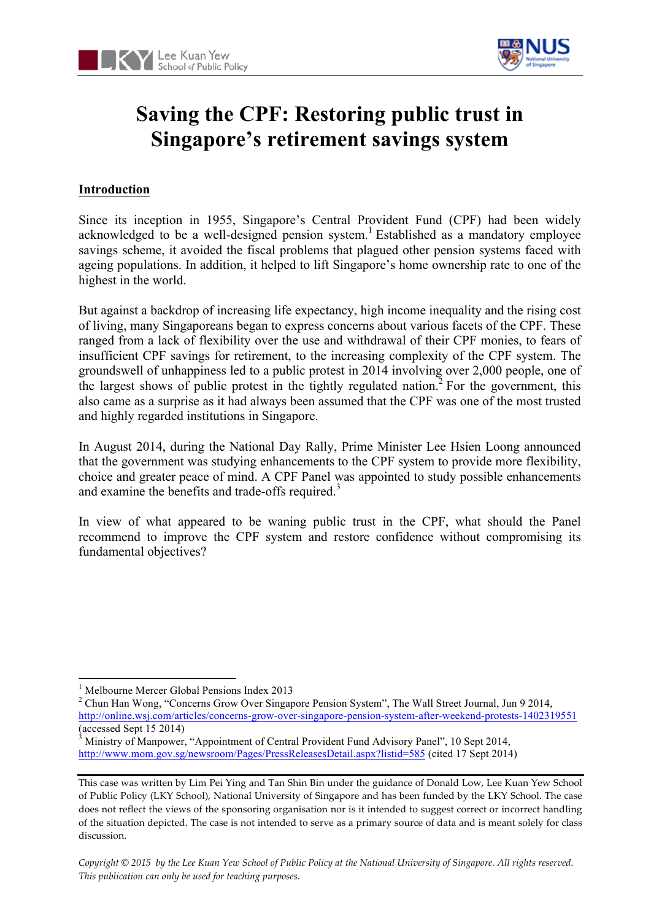



# **Saving the CPF: Restoring public trust in Singapore's retirement savings system**

# **Introduction**

Since its inception in 1955, Singapore's Central Provident Fund (CPF) had been widely acknowledged to be a well-designed pension system.<sup>1</sup> Established as a mandatory employee savings scheme, it avoided the fiscal problems that plagued other pension systems faced with ageing populations. In addition, it helped to lift Singapore's home ownership rate to one of the highest in the world.

But against a backdrop of increasing life expectancy, high income inequality and the rising cost of living, many Singaporeans began to express concerns about various facets of the CPF. These ranged from a lack of flexibility over the use and withdrawal of their CPF monies, to fears of insufficient CPF savings for retirement, to the increasing complexity of the CPF system. The groundswell of unhappiness led to a public protest in 2014 involving over 2,000 people, one of the largest shows of public protest in the tightly regulated nation.<sup>2</sup> For the government, this also came as a surprise as it had always been assumed that the CPF was one of the most trusted and highly regarded institutions in Singapore.

In August 2014, during the National Day Rally, Prime Minister Lee Hsien Loong announced that the government was studying enhancements to the CPF system to provide more flexibility, choice and greater peace of mind. A CPF Panel was appointed to study possible enhancements and examine the benefits and trade-offs required.<sup>3</sup>

In view of what appeared to be waning public trust in the CPF, what should the Panel recommend to improve the CPF system and restore confidence without compromising its fundamental objectives?

<u> 1989 - Jan Samuel Barbara, margaret e</u>

<sup>2</sup> Chun Han Wong, "Concerns Grow Over Singapore Pension System", The Wall Street Journal, Jun 9 2014, http://online.wsj.com/articles/concerns-grow-over-singapore-pension-system-after-weekend-protests-1402319551  $\frac{\text{(accessed Sept 15 2014)}}{\text{Ministry of Mannower}}$ 

<sup>&</sup>lt;sup>1</sup> Melbourne Mercer Global Pensions Index 2013

<sup>3</sup> Ministry of Manpower, "Appointment of Central Provident Fund Advisory Panel", 10 Sept 2014, http://www.mom.gov.sg/newsroom/Pages/PressReleasesDetail.aspx?listid=585 (cited 17 Sept 2014)

This case was written by Lim Pei Ying and Tan Shin Bin under the guidance of Donald Low, Lee Kuan Yew School of Public Policy (LKY School), National University of Singapore and has been funded by the LKY School. The case does not reflect the views of the sponsoring organisation nor is it intended to suggest correct or incorrect handling of the situation depicted. The case is not intended to serve as a primary source of data and is meant solely for class discussion.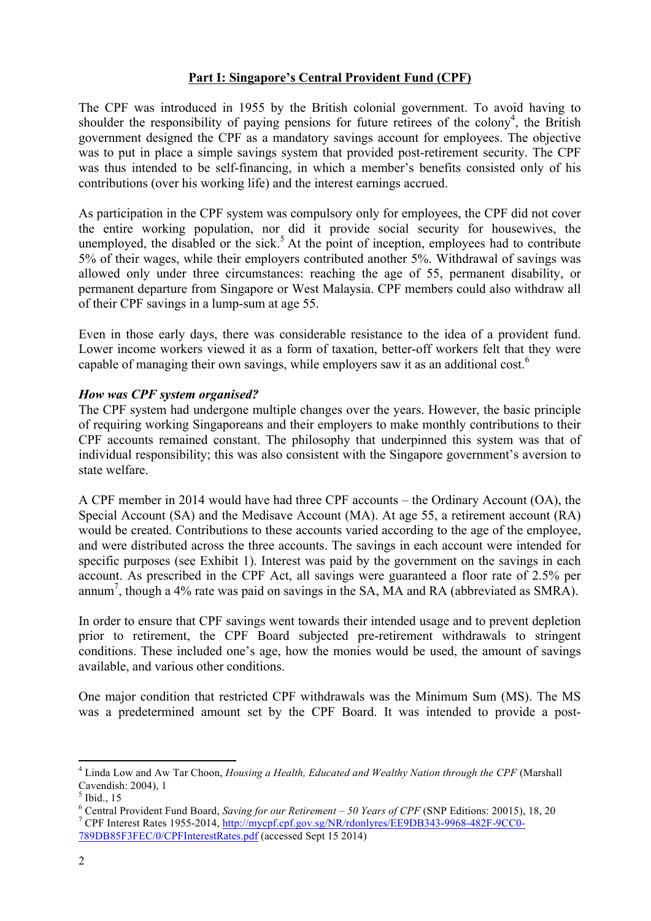#### **Part I: Singapore's Central Provident Fund (CPF)**

The CPF was introduced in 1955 by the British colonial government. To avoid having to shoulder the responsibility of paying pensions for future retirees of the colony<sup>4</sup>, the British government designed the CPF as a mandatory savings account for employees. The objective was to put in place a simple savings system that provided post-retirement security. The CPF was thus intended to be self-financing, in which a member's benefits consisted only of his contributions (over his working life) and the interest earnings accrued.

As participation in the CPF system was compulsory only for employees, the CPF did not cover the entire working population, nor did it provide social security for housewives, the unemployed, the disabled or the sick.<sup>5</sup> At the point of inception, employees had to contribute 5% of their wages, while their employers contributed another 5%. Withdrawal of savings was allowed only under three circumstances: reaching the age of 55, permanent disability, or permanent departure from Singapore or West Malaysia. CPF members could also withdraw all of their CPF savings in a lump-sum at age 55.

Even in those early days, there was considerable resistance to the idea of a provident fund. Lower income workers viewed it as a form of taxation, better-off workers felt that they were capable of managing their own savings, while employers saw it as an additional cost.<sup>6</sup>

#### *How was CPF system organised?*

The CPF system had undergone multiple changes over the years. However, the basic principle of requiring working Singaporeans and their employers to make monthly contributions to their CPF accounts remained constant. The philosophy that underpinned this system was that of individual responsibility; this was also consistent with the Singapore government's aversion to state welfare.

A CPF member in 2014 would have had three CPF accounts – the Ordinary Account (OA), the Special Account (SA) and the Medisave Account (MA). At age 55, a retirement account (RA) would be created. Contributions to these accounts varied according to the age of the employee, and were distributed across the three accounts. The savings in each account were intended for specific purposes (see Exhibit 1). Interest was paid by the government on the savings in each account. As prescribed in the CPF Act, all savings were guaranteed a floor rate of 2.5% per annum<sup>7</sup>, though a 4% rate was paid on savings in the SA, MA and RA (abbreviated as SMRA).

In order to ensure that CPF savings went towards their intended usage and to prevent depletion prior to retirement, the CPF Board subjected pre-retirement withdrawals to stringent conditions. These included one's age, how the monies would be used, the amount of savings available, and various other conditions.

One major condition that restricted CPF withdrawals was the Minimum Sum (MS). The MS was a predetermined amount set by the CPF Board. It was intended to provide a post-

<sup>4</sup> Linda Low and Aw Tar Choon, *Housing a Health, Educated and Wealthy Nation through the CPF* (Marshall Cavendish: 2004), 1

 $<sup>5</sup>$  Ibid., 15</sup>

<sup>&</sup>lt;sup>6</sup> Central Provident Fund Board, *Saving for our Retirement – 50 Years of CPF* (SNP Editions: 20015), 18, 20<br><sup>7</sup> CPF Interest Rates 1955-2014, http://mycpf.cpf.gov.sg/NR/rdonlyres/EE9DB343-9968-482F-9CC0-789DB85F3FEC/0/CPFInterestRates.pdf (accessed Sept 15 2014)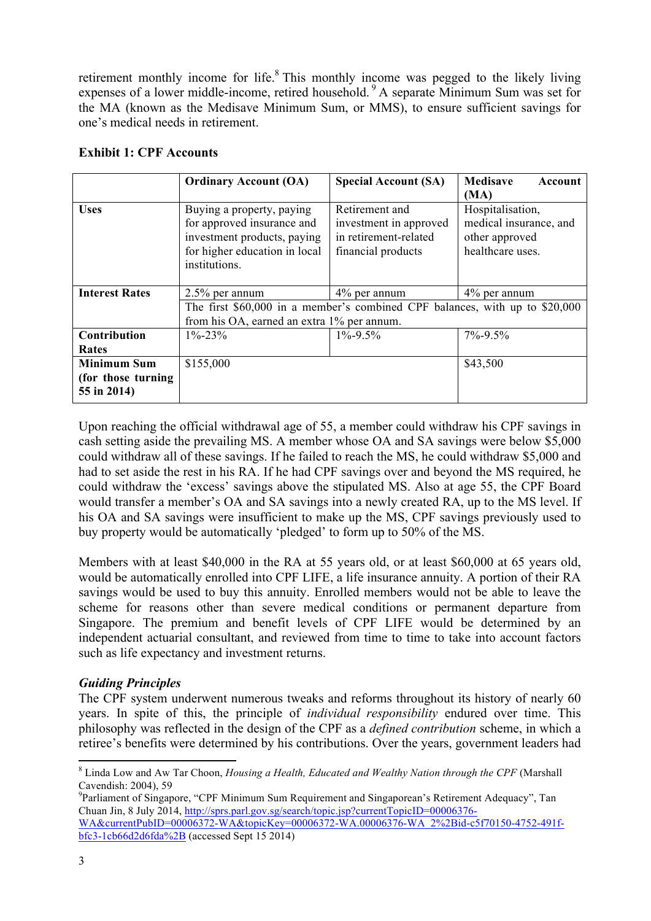retirement monthly income for life.<sup>8</sup> This monthly income was pegged to the likely living expenses of a lower middle-income, retired household. <sup>9</sup> A separate Minimum Sum was set for the MA (known as the Medisave Minimum Sum, or MMS), to ensure sufficient savings for one's medical needs in retirement.

|                       | <b>Ordinary Account (OA)</b>                                                | <b>Special Account (SA)</b> | <b>Medisave</b><br>Account |
|-----------------------|-----------------------------------------------------------------------------|-----------------------------|----------------------------|
|                       |                                                                             |                             | (MA)                       |
| <b>Uses</b>           | Buying a property, paying                                                   | Retirement and              | Hospitalisation,           |
|                       | for approved insurance and                                                  | investment in approved      | medical insurance, and     |
|                       | investment products, paying                                                 | in retirement-related       | other approved             |
|                       | for higher education in local                                               | financial products          | healthcare uses.           |
|                       | institutions.                                                               |                             |                            |
|                       |                                                                             |                             |                            |
| <b>Interest Rates</b> | $2.5\%$ per annum                                                           | $4\%$ per annum             | $4\%$ per annum            |
|                       | The first \$60,000 in a member's combined CPF balances, with up to \$20,000 |                             |                            |
|                       | from his OA, earned an extra 1% per annum.                                  |                             |                            |
| Contribution          | $1\% - 23\%$                                                                | $1\% - 9.5\%$               | $7\% - 9.5\%$              |
| Rates                 |                                                                             |                             |                            |
| <b>Minimum Sum</b>    | \$155,000                                                                   |                             | \$43,500                   |
| (for those turning    |                                                                             |                             |                            |
| 55 in 2014)           |                                                                             |                             |                            |

#### **Exhibit 1: CPF Accounts**

Upon reaching the official withdrawal age of 55, a member could withdraw his CPF savings in cash setting aside the prevailing MS. A member whose OA and SA savings were below \$5,000 could withdraw all of these savings. If he failed to reach the MS, he could withdraw \$5,000 and had to set aside the rest in his RA. If he had CPF savings over and beyond the MS required, he could withdraw the 'excess' savings above the stipulated MS. Also at age 55, the CPF Board would transfer a member's OA and SA savings into a newly created RA, up to the MS level. If his OA and SA savings were insufficient to make up the MS, CPF savings previously used to buy property would be automatically 'pledged' to form up to 50% of the MS.

Members with at least \$40,000 in the RA at 55 years old, or at least \$60,000 at 65 years old, would be automatically enrolled into CPF LIFE, a life insurance annuity. A portion of their RA savings would be used to buy this annuity. Enrolled members would not be able to leave the scheme for reasons other than severe medical conditions or permanent departure from Singapore. The premium and benefit levels of CPF LIFE would be determined by an independent actuarial consultant, and reviewed from time to time to take into account factors such as life expectancy and investment returns.

# *Guiding Principles*

<u> 1989 - Jan Samuel Barbara, margaret e</u>

The CPF system underwent numerous tweaks and reforms throughout its history of nearly 60 years. In spite of this, the principle of *individual responsibility* endured over time. This philosophy was reflected in the design of the CPF as a *defined contribution* scheme, in which a retiree's benefits were determined by his contributions. Over the years, government leaders had

<sup>8</sup> Linda Low and Aw Tar Choon, *Housing a Health, Educated and Wealthy Nation through the CPF* (Marshall Cavendish: 2004), 59

<sup>&</sup>lt;sup>9</sup>Parliament of Singapore, "CPF Minimum Sum Requirement and Singaporean's Retirement Adequacy", Tan Chuan Jin, 8 July 2014, http://sprs.parl.gov.sg/search/topic.jsp?currentTopicID=00006376- WA&currentPubID=00006372-WA&topicKey=00006372-WA.00006376-WA\_2%2Bid-c5f70150-4752-491f-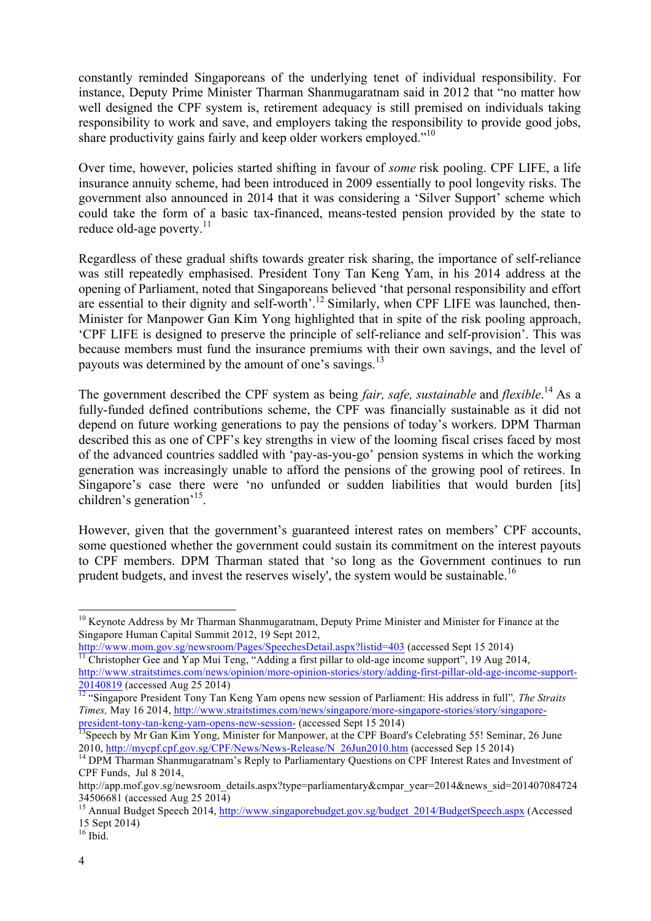constantly reminded Singaporeans of the underlying tenet of individual responsibility. For instance, Deputy Prime Minister Tharman Shanmugaratnam said in 2012 that "no matter how well designed the CPF system is, retirement adequacy is still premised on individuals taking responsibility to work and save, and employers taking the responsibility to provide good jobs, share productivity gains fairly and keep older workers employed."<sup>10</sup>

Over time, however, policies started shifting in favour of *some* risk pooling. CPF LIFE, a life insurance annuity scheme, had been introduced in 2009 essentially to pool longevity risks. The government also announced in 2014 that it was considering a 'Silver Support' scheme which could take the form of a basic tax-financed, means-tested pension provided by the state to reduce old-age poverty.<sup>11</sup>

Regardless of these gradual shifts towards greater risk sharing, the importance of self-reliance was still repeatedly emphasised. President Tony Tan Keng Yam, in his 2014 address at the opening of Parliament, noted that Singaporeans believed 'that personal responsibility and effort are essential to their dignity and self-worth'.<sup>12</sup> Similarly, when CPF LIFE was launched, then-Minister for Manpower Gan Kim Yong highlighted that in spite of the risk pooling approach, 'CPF LIFE is designed to preserve the principle of self-reliance and self-provision'. This was because members must fund the insurance premiums with their own savings, and the level of payouts was determined by the amount of one's savings.<sup>13</sup>

The government described the CPF system as being *fair, safe, sustainable* and *flexible*. <sup>14</sup> As a fully-funded defined contributions scheme, the CPF was financially sustainable as it did not depend on future working generations to pay the pensions of today's workers. DPM Tharman described this as one of CPF's key strengths in view of the looming fiscal crises faced by most of the advanced countries saddled with 'pay-as-you-go' pension systems in which the working generation was increasingly unable to afford the pensions of the growing pool of retirees. In Singapore's case there were 'no unfunded or sudden liabilities that would burden [its] children's generation'15.

However, given that the government's guaranteed interest rates on members' CPF accounts, some questioned whether the government could sustain its commitment on the interest payouts to CPF members. DPM Tharman stated that 'so long as the Government continues to run prudent budgets, and invest the reserves wisely', the system would be sustainable.<sup>16</sup>

<sup>&</sup>lt;sup>10</sup> Keynote Address by Mr Tharman Shanmugaratnam, Deputy Prime Minister and Minister for Finance at the Singapore Human Capital Summit 2012, 19 Sept 2012,

http://www.mom.gov.sg/newsroom/Pages/SpeechesDetail.aspx?listid=403 (accessed Sept 15 2014)<br><sup>11</sup> Christopher Gee and Yap Mui Teng, "Adding a first pillar to old-age income support", 19 Aug 2014,

http://www.straitstimes.com/news/opinion/more-opinion-stories/story/adding-first-pillar-old-age-income-support-<sup>20140819</sup> (accessed Aug 25 2014) <sup>12</sup> "Singapore President Tony Tan Keng Yam opens new session of Parliament: His address in full"*, The Straits* 

*Times,* May 16 2014, http://www.straitstimes.com/news/singapore/more-singapore-stories/story/singapore-

president-tony-tan-keng-yam-opens-new-session- (accessed Sept 15 2014)<br><sup>13</sup>Speech by Mr Gan Kim Yong, Minister for Manpower, at the CPF Board's Celebrating 55! Seminar, 26 June<br>2010, http://mycpf.cpf.gov.sg/CPF/News/News-R

<sup>&</sup>lt;sup>14</sup> DPM Tharman Shanmugaratnam's Reply to Parliamentary Questions on CPF Interest Rates and Investment of CPF Funds, Jul 8 2014,

http://app.mof.gov.sg/newsroom\_details.aspx?type=parliamentary&cmpar\_year=2014&news\_sid=201407084724 34506681 (accessed Aug 25 2014)<br><sup>15</sup> Annual Budget Speech 2014, http://www.singaporebudget.gov.sg/budget\_2014/BudgetSpeech.aspx (Accessed

<sup>15</sup> Sept 2014)

 $16$  Ibid.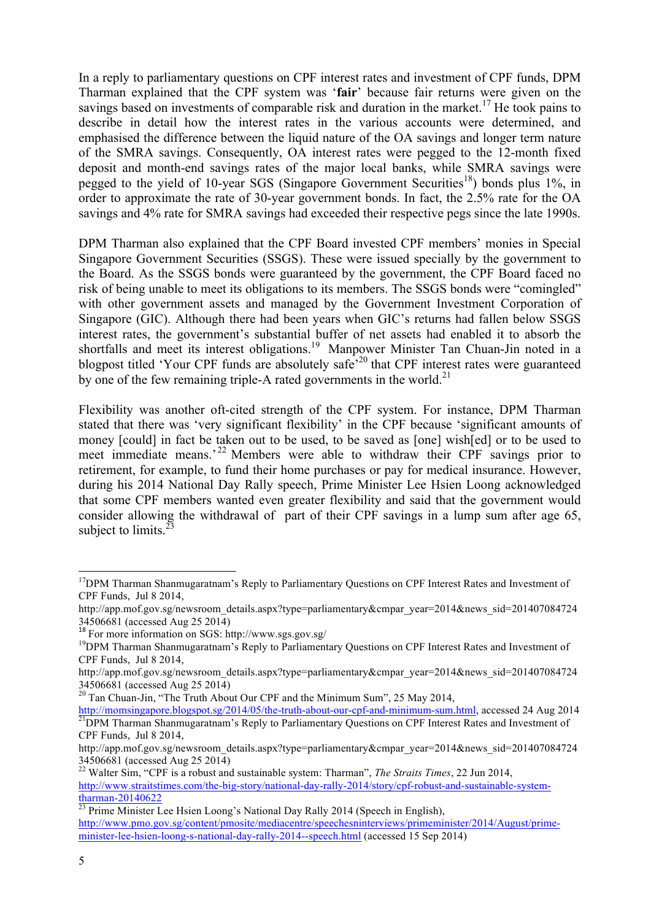In a reply to parliamentary questions on CPF interest rates and investment of CPF funds, DPM Tharman explained that the CPF system was '**fair**' because fair returns were given on the savings based on investments of comparable risk and duration in the market.<sup>17</sup> He took pains to describe in detail how the interest rates in the various accounts were determined, and emphasised the difference between the liquid nature of the OA savings and longer term nature of the SMRA savings. Consequently, OA interest rates were pegged to the 12-month fixed deposit and month-end savings rates of the major local banks, while SMRA savings were pegged to the yield of 10-year SGS (Singapore Government Securities<sup>18</sup>) bonds plus 1%, in order to approximate the rate of 30-year government bonds. In fact, the 2.5% rate for the OA savings and 4% rate for SMRA savings had exceeded their respective pegs since the late 1990s.

DPM Tharman also explained that the CPF Board invested CPF members' monies in Special Singapore Government Securities (SSGS). These were issued specially by the government to the Board. As the SSGS bonds were guaranteed by the government, the CPF Board faced no risk of being unable to meet its obligations to its members. The SSGS bonds were "comingled" with other government assets and managed by the Government Investment Corporation of Singapore (GIC). Although there had been years when GIC's returns had fallen below SSGS interest rates, the government's substantial buffer of net assets had enabled it to absorb the shortfalls and meet its interest obligations.<sup>19</sup> Manpower Minister Tan Chuan-Jin noted in a blogpost titled 'Your CPF funds are absolutely safe'<sup>20</sup> that CPF interest rates were guaranteed by one of the few remaining triple-A rated governments in the world.<sup>21</sup>

Flexibility was another oft-cited strength of the CPF system. For instance, DPM Tharman stated that there was 'very significant flexibility' in the CPF because 'significant amounts of money [could] in fact be taken out to be used, to be saved as [one] wish[ed] or to be used to meet immediate means.<sup>22</sup> Members were able to withdraw their CPF savings prior to retirement, for example, to fund their home purchases or pay for medical insurance. However, during his 2014 National Day Rally speech, Prime Minister Lee Hsien Loong acknowledged that some CPF members wanted even greater flexibility and said that the government would consider allowing the withdrawal of part of their CPF savings in a lump sum after age 65, subject to limits. $^{23}$ 

<sup>&</sup>lt;sup>17</sup>DPM Tharman Shanmugaratnam's Reply to Parliamentary Questions on CPF Interest Rates and Investment of CPF Funds, Jul 8 2014,

http://app.mof.gov.sg/newsroom\_details.aspx?type=parliamentary&cmpar\_year=2014&news\_sid=201407084724 34506681 (accessed Aug 25 2014)

<sup>18</sup> For more information on SGS: http://www.sgs.gov.sg/

<sup>&</sup>lt;sup>19</sup>DPM Tharman Shanmugaratnam's Reply to Parliamentary Questions on CPF Interest Rates and Investment of CPF Funds, Jul 8 2014,

http://app.mof.gov.sg/newsroom\_details.aspx?type=parliamentary&cmpar\_year=2014&news\_sid=201407084724 34506681 (accessed Aug 25 2014)

 $20$  Tan Chuan-Jin, "The Truth About Our CPF and the Minimum Sum", 25 May 2014,

http://momsingapore.blogspot.sg/2014/05/the-truth-about-our-cpf-and-minimum-sum.html, accessed 24 Aug 2014 <sup>21</sup>DPM Tharman Shanmugaratnam's Reply to Parliamentary Questions on CPF Interest Rates and Investment of CPF Funds, Jul 8 2014,

http://app.mof.gov.sg/newsroom\_details.aspx?type=parliamentary&cmpar\_year=2014&news\_sid=201407084724 34506681 (accessed Aug 25 2014)

<sup>22</sup> Walter Sim, "CPF is a robust and sustainable system: Tharman", *The Straits Times*, 22 Jun 2014, http://www.straitstimes.com/the-big-story/national-day-rally-2014/story/cpf-robust-and-sustainable-systemtharman-20140622<br><sup>23</sup> Prime Minister Lee Hsien Loong's National Day Rally 2014 (Speech in English),

http://www.pmo.gov.sg/content/pmosite/mediacentre/speechesninterviews/primeminister/2014/August/primeminister-lee-hsien-loong-s-national-day-rally-2014--speech.html (accessed 15 Sep 2014)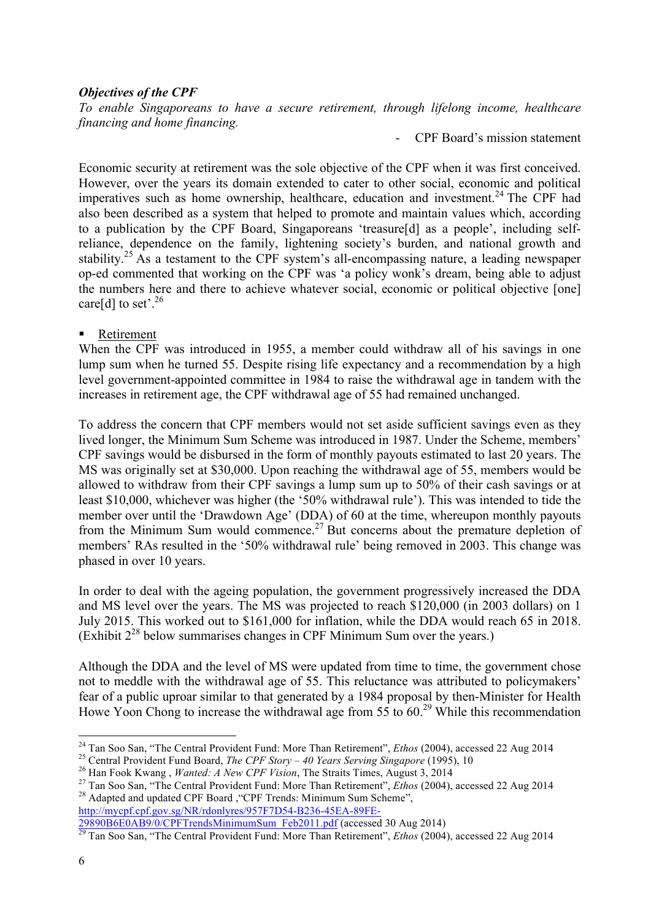#### *Objectives of the CPF*

*To enable Singaporeans to have a secure retirement, through lifelong income, healthcare financing and home financing.*

- CPF Board's mission statement

Economic security at retirement was the sole objective of the CPF when it was first conceived. However, over the years its domain extended to cater to other social, economic and political imperatives such as home ownership, healthcare, education and investment.<sup>24</sup> The CPF had also been described as a system that helped to promote and maintain values which, according to a publication by the CPF Board, Singaporeans 'treasure[d] as a people', including selfreliance, dependence on the family, lightening society's burden, and national growth and stability.<sup>25</sup> As a testament to the CPF system's all-encompassing nature, a leading newspaper op-ed commented that working on the CPF was 'a policy wonk's dream, being able to adjust the numbers here and there to achieve whatever social, economic or political objective [one] care[d] to set'.<sup>26</sup>

#### **EXECUTE:** Retirement

When the CPF was introduced in 1955, a member could withdraw all of his savings in one lump sum when he turned 55. Despite rising life expectancy and a recommendation by a high level government-appointed committee in 1984 to raise the withdrawal age in tandem with the increases in retirement age, the CPF withdrawal age of 55 had remained unchanged.

To address the concern that CPF members would not set aside sufficient savings even as they lived longer, the Minimum Sum Scheme was introduced in 1987. Under the Scheme, members' CPF savings would be disbursed in the form of monthly payouts estimated to last 20 years. The MS was originally set at \$30,000. Upon reaching the withdrawal age of 55, members would be allowed to withdraw from their CPF savings a lump sum up to 50% of their cash savings or at least \$10,000, whichever was higher (the '50% withdrawal rule'). This was intended to tide the member over until the 'Drawdown Age' (DDA) of 60 at the time, whereupon monthly payouts from the Minimum Sum would commence.<sup>27</sup> But concerns about the premature depletion of members' RAs resulted in the '50% withdrawal rule' being removed in 2003. This change was phased in over 10 years.

In order to deal with the ageing population, the government progressively increased the DDA and MS level over the years. The MS was projected to reach \$120,000 (in 2003 dollars) on 1 July 2015. This worked out to \$161,000 for inflation, while the DDA would reach 65 in 2018. (Exhibit  $2^{28}$  below summarises changes in CPF Minimum Sum over the years.)

Although the DDA and the level of MS were updated from time to time, the government chose not to meddle with the withdrawal age of 55. This reluctance was attributed to policymakers' fear of a public uproar similar to that generated by a 1984 proposal by then-Minister for Health Howe Yoon Chong to increase the withdrawal age from  $55$  to  $60.<sup>29</sup>$  While this recommendation

http://mycpf.cpf.gov.sg/NR/rdonlyres/957F7D54-B236-45EA-89FE-<br>29890B6E0AB9/0/CPFTrendsMinimumSum Feb2011.pdf (accessed 30 Aug 2014)

<sup>&</sup>lt;sup>24</sup> Tan Soo San, "The Central Provident Fund: More Than Retirement", *Ethos* (2004), accessed 22 Aug 2014

<sup>&</sup>lt;sup>25</sup> Central Provident Fund Board, *The CPF Story – 40 Years Serving Singapore* (1995), 10<br><sup>26</sup> Han Fook Kwang, *Wanted: A New CPF Vision*, The Straits Times, August 3, 2014<br><sup>27</sup> Tan Soo San, "The Central Provident Fund:

<sup>29890</sup>B6E0AB9/07CPTTTrendsminimumsum\_Feb2011.pdf (accessed 20 Aug 2014) 29 Tan Soo San, "The Central Provident Fund: More Than Retirement", *Ethos* (2004), accessed 22 Aug 2014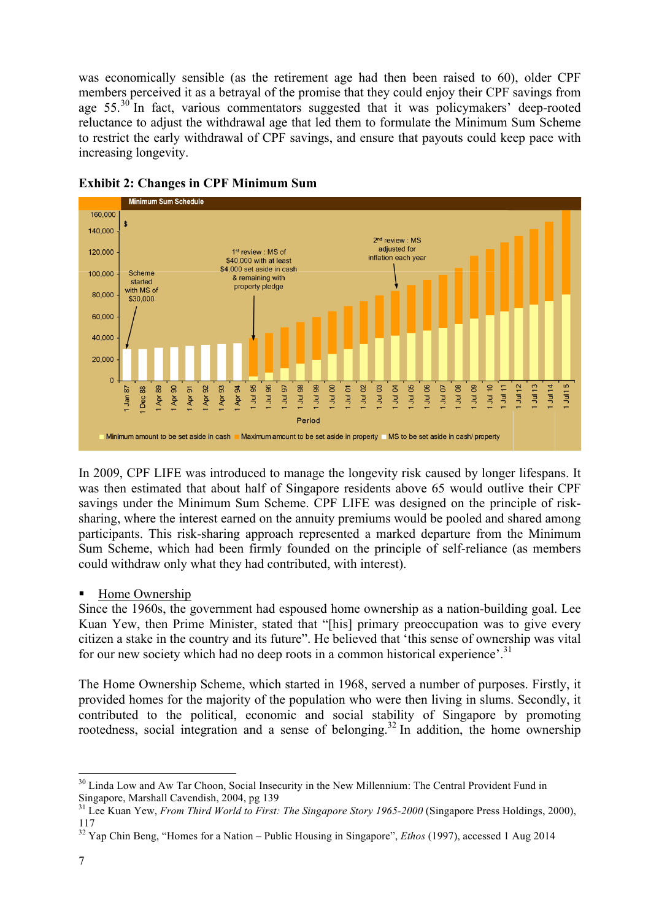was economically sensible (as the retirement age had then been raised to 60), older CPF members perceived it as a betrayal of the promise that they could enjoy their CPF savings from age  $55.^{30}$  In fact, various commentators suggested that it was policymakers' deep-rooted reluctance to adjust the withdrawal age that led them to formulate the Minimum Sum Scheme to restrict the early withdrawal of CPF savings, and ensure that payouts could keep pace with increasing longevity.



# **Exhibit 2: Changes in CPF Minimum Sum**

In 2009, CPF LIFE was introduced to manage the longevity risk caused by longer lifespans. It was then estimated that about half of Singapore residents above 65 would outlive their CPF savings under the Minimum Sum Scheme. CPF LIFE was designed on the principle of risksharing, where the interest earned on the annuity premiums would be pooled and shared among participants. This risk-sharing approach represented a marked departure from the Minimum Sum Scheme, which had been firmly founded on the principle of self-reliance (as members could withdraw only what they had contributed, with interest).

# Home Ownership

<u> 1989 - Jan Samuel Barbara, margaret e</u>

Since the 1960s, the government had espoused home ownership as a nation-building goal. Lee Kuan Yew, then Prime Minister, stated that "[his] primary preoccupation was to give every citizen a stake in the country and its future". He believed that 'this sense of ownership was vital for our new society which had no deep roots in a common historical experience'.<sup>31</sup>

The Home Ownership Scheme, which started in 1968, served a number of purposes. Firstly, it provided homes for the majority of the population who were then living in slums. Secondly, it contributed to the political, economic and social stability of Singapore by promoting rootedness, social integration and a sense of belonging.<sup>32</sup> In addition, the home ownership

<sup>&</sup>lt;sup>30</sup> Linda Low and Aw Tar Choon, Social Insecurity in the New Millennium: The Central Provident Fund in Singapore, Marshall Cavendish, 2004, pg 139

<sup>&</sup>lt;sup>31</sup> Lee Kuan Yew, *From Third World to First: The Singapore Story 1965-2000* (Singapore Press Holdings, 2000), 117

<sup>32</sup> Yap Chin Beng, "Homes for a Nation – Public Housing in Singapore", *Ethos* (1997), accessed 1 Aug 2014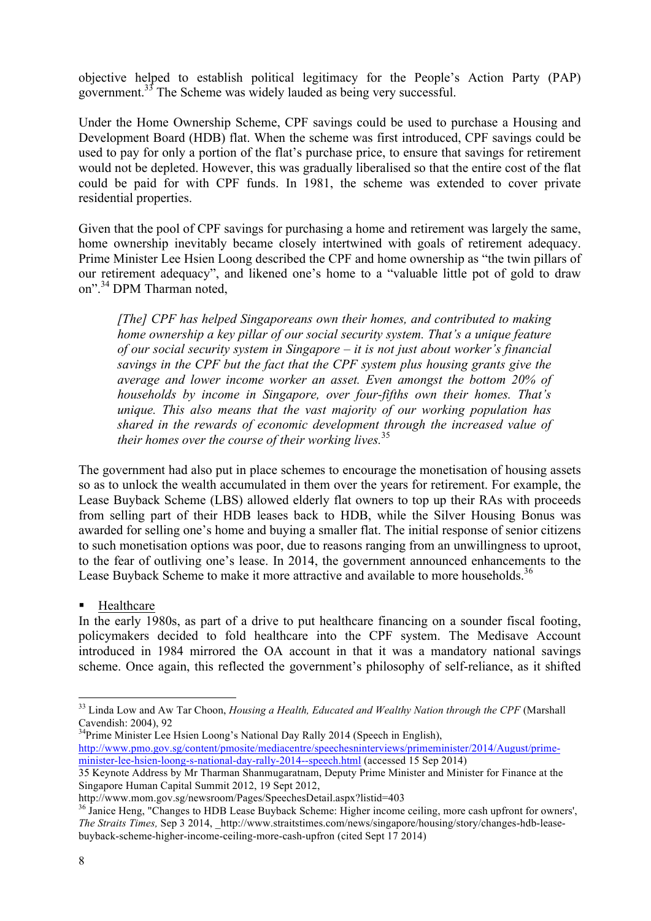objective helped to establish political legitimacy for the People's Action Party (PAP) government.<sup>33</sup> The Scheme was widely lauded as being very successful.

Under the Home Ownership Scheme, CPF savings could be used to purchase a Housing and Development Board (HDB) flat. When the scheme was first introduced, CPF savings could be used to pay for only a portion of the flat's purchase price, to ensure that savings for retirement would not be depleted. However, this was gradually liberalised so that the entire cost of the flat could be paid for with CPF funds. In 1981, the scheme was extended to cover private residential properties.

Given that the pool of CPF savings for purchasing a home and retirement was largely the same, home ownership inevitably became closely intertwined with goals of retirement adequacy. Prime Minister Lee Hsien Loong described the CPF and home ownership as "the twin pillars of our retirement adequacy", and likened one's home to a "valuable little pot of gold to draw on".<sup>34</sup> DPM Tharman noted,

*[The] CPF has helped Singaporeans own their homes, and contributed to making home ownership a key pillar of our social security system. That's a unique feature of our social security system in Singapore – it is not just about worker's financial savings in the CPF but the fact that the CPF system plus housing grants give the average and lower income worker an asset. Even amongst the bottom 20% of households by income in Singapore, over four-fifths own their homes. That's unique. This also means that the vast majority of our working population has shared in the rewards of economic development through the increased value of their homes over the course of their working lives.*<sup>35</sup>

The government had also put in place schemes to encourage the monetisation of housing assets so as to unlock the wealth accumulated in them over the years for retirement. For example, the Lease Buyback Scheme (LBS) allowed elderly flat owners to top up their RAs with proceeds from selling part of their HDB leases back to HDB, while the Silver Housing Bonus was awarded for selling one's home and buying a smaller flat. The initial response of senior citizens to such monetisation options was poor, due to reasons ranging from an unwillingness to uproot, to the fear of outliving one's lease. In 2014, the government announced enhancements to the Lease Buyback Scheme to make it more attractive and available to more households.<sup>36</sup>

**EXECUTE:** Healthcare

 

In the early 1980s, as part of a drive to put healthcare financing on a sounder fiscal footing, policymakers decided to fold healthcare into the CPF system. The Medisave Account introduced in 1984 mirrored the OA account in that it was a mandatory national savings scheme. Once again, this reflected the government's philosophy of self-reliance, as it shifted

<sup>34</sup>Prime Minister Lee Hsien Loong's National Day Rally 2014 (Speech in English),

<sup>33</sup> Linda Low and Aw Tar Choon, *Housing a Health, Educated and Wealthy Nation through the CPF* (Marshall Cavendish: 2004), 92

http://www.pmo.gov.sg/content/pmosite/mediacentre/speechesninterviews/primeminister/2014/August/primeminister-lee-hsien-loong-s-national-day-rally-2014--speech.html (accessed 15 Sep 2014)

<sup>35</sup> Keynote Address by Mr Tharman Shanmugaratnam, Deputy Prime Minister and Minister for Finance at the Singapore Human Capital Summit 2012, 19 Sept 2012,

http://www.mom.gov.sg/newsroom/Pages/SpeechesDetail.aspx?listid=403<br><sup>36</sup> Janice Heng, "Changes to HDB Lease Buyback Scheme: Higher income ceiling, more cash upfront for owners', *The Straits Times, Sep 3 2014, http://www.straitstimes.com/news/singapore/housing/story/changes-hdb-lease*buyback-scheme-higher-income-ceiling-more-cash-upfron (cited Sept 17 2014)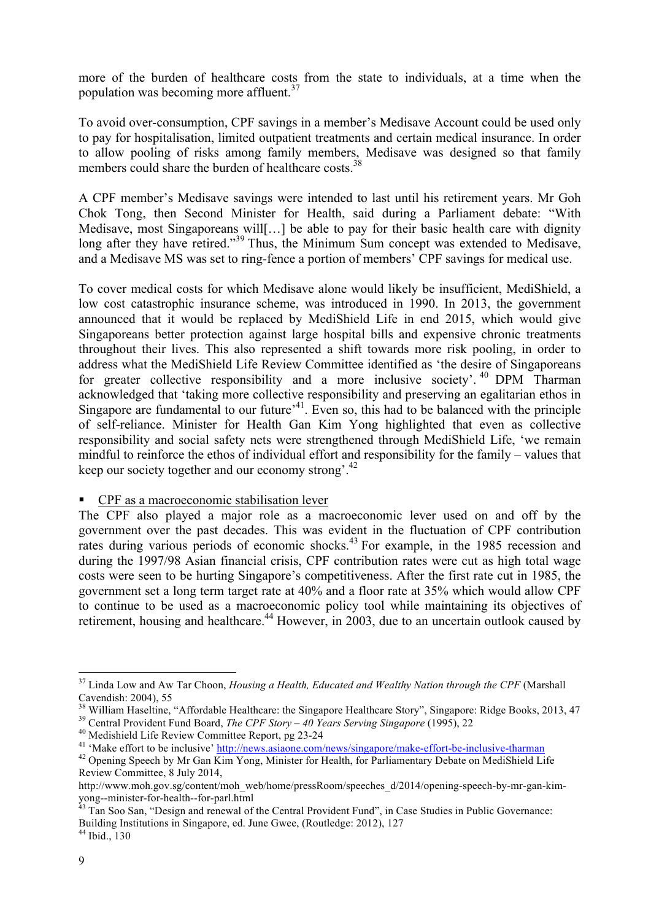more of the burden of healthcare costs from the state to individuals, at a time when the population was becoming more affluent.<sup>37</sup>

To avoid over-consumption, CPF savings in a member's Medisave Account could be used only to pay for hospitalisation, limited outpatient treatments and certain medical insurance. In order to allow pooling of risks among family members, Medisave was designed so that family members could share the burden of healthcare costs.<sup>38</sup>

A CPF member's Medisave savings were intended to last until his retirement years. Mr Goh Chok Tong, then Second Minister for Health, said during a Parliament debate: "With Medisave, most Singaporeans will[…] be able to pay for their basic health care with dignity long after they have retired."<sup>39</sup> Thus, the Minimum Sum concept was extended to Medisave, and a Medisave MS was set to ring-fence a portion of members' CPF savings for medical use.

To cover medical costs for which Medisave alone would likely be insufficient, MediShield, a low cost catastrophic insurance scheme, was introduced in 1990. In 2013, the government announced that it would be replaced by MediShield Life in end 2015, which would give Singaporeans better protection against large hospital bills and expensive chronic treatments throughout their lives. This also represented a shift towards more risk pooling, in order to address what the MediShield Life Review Committee identified as 'the desire of Singaporeans for greater collective responsibility and a more inclusive society'. <sup>40</sup> DPM Tharman acknowledged that 'taking more collective responsibility and preserving an egalitarian ethos in Singapore are fundamental to our future<sup> $,41$ </sup>. Even so, this had to be balanced with the principle of self-reliance. Minister for Health Gan Kim Yong highlighted that even as collective responsibility and social safety nets were strengthened through MediShield Life, 'we remain mindful to reinforce the ethos of individual effort and responsibility for the family – values that keep our society together and our economy strong'.42

#### ! CPF as a macroeconomic stabilisation lever

The CPF also played a major role as a macroeconomic lever used on and off by the government over the past decades. This was evident in the fluctuation of CPF contribution rates during various periods of economic shocks.<sup>43</sup> For example, in the 1985 recession and during the 1997/98 Asian financial crisis, CPF contribution rates were cut as high total wage costs were seen to be hurting Singapore's competitiveness. After the first rate cut in 1985, the government set a long term target rate at 40% and a floor rate at 35% which would allow CPF to continue to be used as a macroeconomic policy tool while maintaining its objectives of retirement, housing and healthcare.<sup>44</sup> However, in 2003, due to an uncertain outlook caused by

<sup>37</sup> Linda Low and Aw Tar Choon, *Housing a Health, Educated and Wealthy Nation through the CPF* (Marshall Cavendish: 2004), 55<br><sup>38</sup> William Haseltine, "Affordable Healthcare: the Singapore Healthcare Story", Singapore: Ridge Books, 2013, 47<br><sup>39</sup> Central Provident Fund Board, *The CPF Story – 40 Years Serving Singapore* (1995)

Review Committee, 8 July 2014,

http://www.moh.gov.sg/content/moh\_web/home/pressRoom/speeches\_d/2014/opening-speech-by-mr-gan-kim-<br>yong--minister-for-health--for-parl.html

Tan Soo San, "Design and renewal of the Central Provident Fund", in Case Studies in Public Governance: Building Institutions in Singapore, ed. June Gwee, (Routledge: 2012), 127

 $44$  Ibid., 130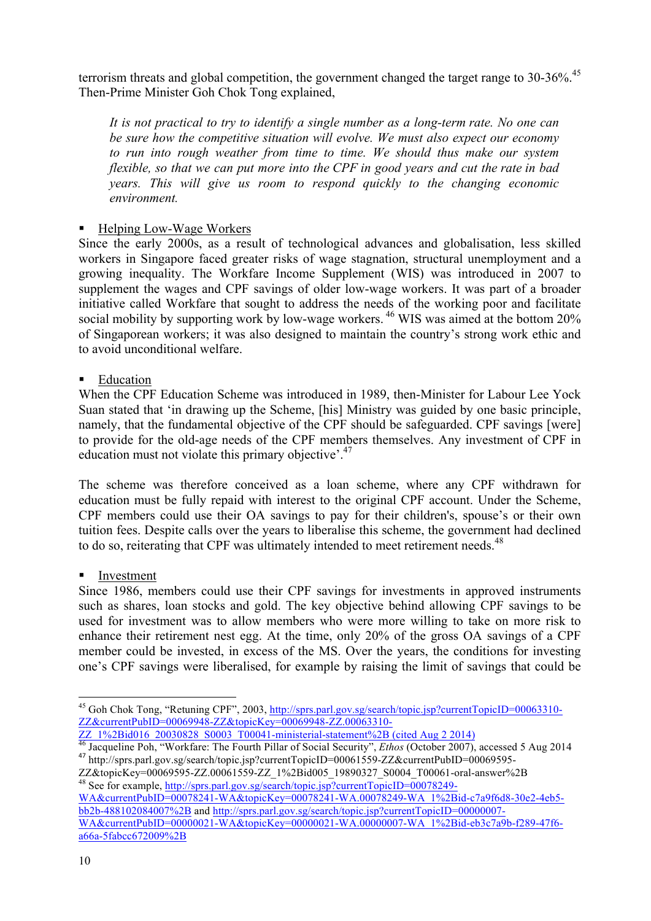terrorism threats and global competition, the government changed the target range to 30-36%.<sup>45</sup> Then-Prime Minister Goh Chok Tong explained,

*It is not practical to try to identify a single number as a long-term rate. No one can be sure how the competitive situation will evolve. We must also expect our economy to run into rough weather from time to time. We should thus make our system flexible, so that we can put more into the CPF in good years and cut the rate in bad years. This will give us room to respond quickly to the changing economic environment.*

# ■ Helping Low-Wage Workers

Since the early 2000s, as a result of technological advances and globalisation, less skilled workers in Singapore faced greater risks of wage stagnation, structural unemployment and a growing inequality. The Workfare Income Supplement (WIS) was introduced in 2007 to supplement the wages and CPF savings of older low-wage workers. It was part of a broader initiative called Workfare that sought to address the needs of the working poor and facilitate social mobility by supporting work by low-wage workers.<sup>46</sup> WIS was aimed at the bottom 20% of Singaporean workers; it was also designed to maintain the country's strong work ethic and to avoid unconditional welfare.

#### **Education**

When the CPF Education Scheme was introduced in 1989, then-Minister for Labour Lee Yock Suan stated that 'in drawing up the Scheme, [his] Ministry was guided by one basic principle, namely, that the fundamental objective of the CPF should be safeguarded. CPF savings [were] to provide for the old-age needs of the CPF members themselves. Any investment of CPF in education must not violate this primary objective'. $47$ 

The scheme was therefore conceived as a loan scheme, where any CPF withdrawn for education must be fully repaid with interest to the original CPF account. Under the Scheme, CPF members could use their OA savings to pay for their children's, spouse's or their own tuition fees. Despite calls over the years to liberalise this scheme, the government had declined to do so, reiterating that CPF was ultimately intended to meet retirement needs.<sup>48</sup>

# **Investment**

 

Since 1986, members could use their CPF savings for investments in approved instruments such as shares, loan stocks and gold. The key objective behind allowing CPF savings to be used for investment was to allow members who were more willing to take on more risk to enhance their retirement nest egg. At the time, only 20% of the gross OA savings of a CPF member could be invested, in excess of the MS. Over the years, the conditions for investing one's CPF savings were liberalised, for example by raising the limit of savings that could be

<sup>&</sup>lt;sup>45</sup> Goh Chok Tong, "Retuning CPF", 2003, http://sprs.parl.gov.sg/search/topic.jsp?currentTopicID=00063310-ZZ&currentPubID=00069948-ZZ&topicKey=00069948-ZZ.00063310-

 $\frac{ZZ\_1\%2 \text{Bid016}\_20030828\_S0003\_T00041\text{-ministerial-statement}\%2 \text{B (cited Aug }2\ 2014)}{36 \text{ Jacqueline Poh},\text{``Workfare: The Fourth Pillar of Social Security'', }*Ethos* (October 2007), accessed 5 Aug 2014\n\n
$$
^{47} \text{http://sprs.parl.gov.sg/search/topic.jsp?currentTopicID=00061559-ZZ&currentPubID=00069595-ZZ&to0069595-ZZ&to0061-00069595-ZZ&to006959
$$$ 

<sup>&</sup>lt;sup>48</sup> See for example, http://sprs.parl.gov.sg/search/topic.jsp?currentTopicID= $\overline{00078249}$ -

WA&currentPubID=00078241-WA&topicKey=00078241-WA.00078249-WA\_1%2Bid-c7a9f6d8-30e2-4eb5bb2b-488102084007%2B and http://sprs.parl.gov.sg/search/topic.jsp?currentTopicID=00000007- WA&currentPubID=00000021-WA&topicKey=00000021-WA.00000007-WA\_1%2Bid-eb3c7a9b-f289-47f6a66a-5fabcc672009%2B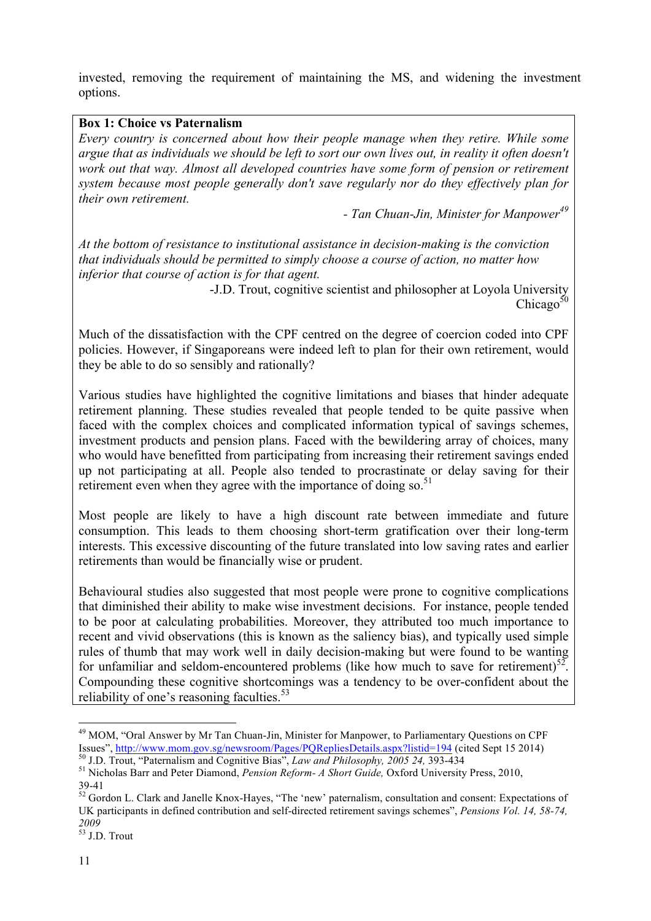invested, removing the requirement of maintaining the MS, and widening the investment options.

#### **Box 1: Choice vs Paternalism**

*Every country is concerned about how their people manage when they retire. While some argue that as individuals we should be left to sort our own lives out, in reality it often doesn't work out that way. Almost all developed countries have some form of pension or retirement system because most people generally don't save regularly nor do they effectively plan for their own retirement.*

*- Tan Chuan-Jin, Minister for Manpower*<sup>49</sup>

*At the bottom of resistance to institutional assistance in decision-making is the conviction that individuals should be permitted to simply choose a course of action, no matter how inferior that course of action is for that agent.* 

-J.D. Trout, cognitive scientist and philosopher at Loyola University Chicago $50$ 

Much of the dissatisfaction with the CPF centred on the degree of coercion coded into CPF policies. However, if Singaporeans were indeed left to plan for their own retirement, would they be able to do so sensibly and rationally?

Various studies have highlighted the cognitive limitations and biases that hinder adequate retirement planning. These studies revealed that people tended to be quite passive when faced with the complex choices and complicated information typical of savings schemes, investment products and pension plans. Faced with the bewildering array of choices, many who would have benefitted from participating from increasing their retirement savings ended up not participating at all. People also tended to procrastinate or delay saving for their retirement even when they agree with the importance of doing so.<sup>51</sup>

Most people are likely to have a high discount rate between immediate and future consumption. This leads to them choosing short-term gratification over their long-term interests. This excessive discounting of the future translated into low saving rates and earlier retirements than would be financially wise or prudent.

Behavioural studies also suggested that most people were prone to cognitive complications that diminished their ability to make wise investment decisions. For instance, people tended to be poor at calculating probabilities. Moreover, they attributed too much importance to recent and vivid observations (this is known as the saliency bias), and typically used simple rules of thumb that may work well in daily decision-making but were found to be wanting for unfamiliar and seldom-encountered problems (like how much to save for retirement)<sup>52</sup>. Compounding these cognitive shortcomings was a tendency to be over-confident about the reliability of one's reasoning faculties. $53$ 

<sup>&</sup>lt;sup>49</sup> MOM, "Oral Answer by Mr Tan Chuan-Jin, Minister for Manpower, to Parliamentary Questions on CPF Issues", http://www.mom.gov.sg/newsroom/Pages/PQRepliesDetails.aspx?listid=194 (cited Sept 15 2014)

<sup>&</sup>lt;sup>50</sup> J.D. Trout, "Paternalism and Cognitive Bias", *Law and Philosophy, 2005 24*, 393-434<br><sup>51</sup> Nicholas Barr and Peter Diamond, *Pension Reform- A Short Guide*, Oxford University Press, 2010,

<sup>39-41</sup> <sup>52</sup> Gordon L. Clark and Janelle Knox-Hayes, "The 'new' paternalism, consultation and consent: Expectations of UK participants in defined contribution and self-directed retirement savings schemes", *Pensions Vol. 14, 58-74, 2009*

<sup>53</sup> J.D. Trout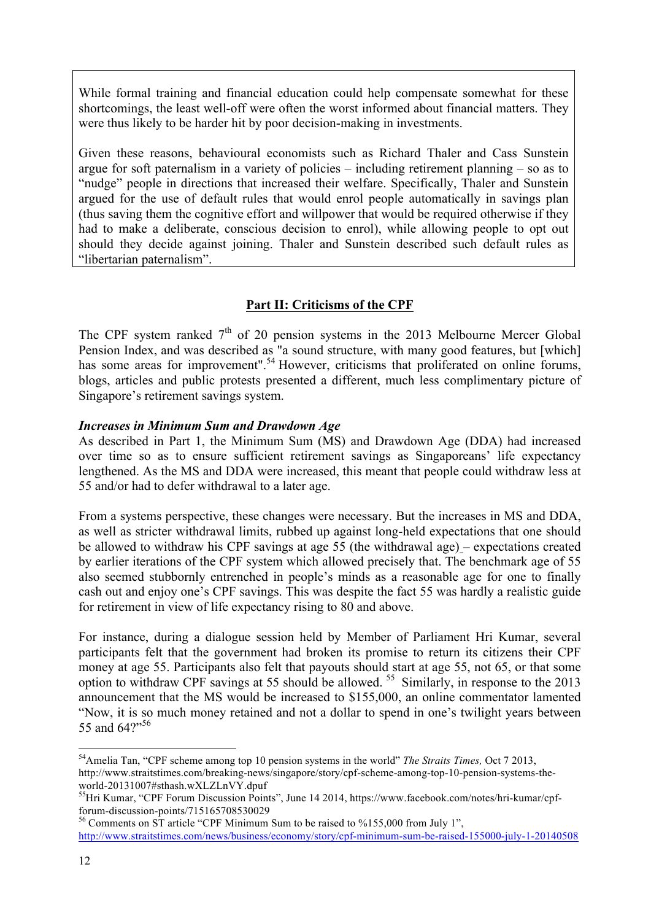While formal training and financial education could help compensate somewhat for these shortcomings, the least well-off were often the worst informed about financial matters. They were thus likely to be harder hit by poor decision-making in investments.

Given these reasons, behavioural economists such as Richard Thaler and Cass Sunstein argue for soft paternalism in a variety of policies – including retirement planning – so as to "nudge" people in directions that increased their welfare. Specifically, Thaler and Sunstein argued for the use of default rules that would enrol people automatically in savings plan (thus saving them the cognitive effort and willpower that would be required otherwise if they had to make a deliberate, conscious decision to enrol), while allowing people to opt out should they decide against joining. Thaler and Sunstein described such default rules as "libertarian paternalism".

# **Part II: Criticisms of the CPF**

The CPF system ranked  $7<sup>th</sup>$  of 20 pension systems in the 2013 Melbourne Mercer Global Pension Index, and was described as "a sound structure, with many good features, but [which] has some areas for improvement".<sup>54</sup> However, criticisms that proliferated on online forums, blogs, articles and public protests presented a different, much less complimentary picture of Singapore's retirement savings system.

#### *Increases in Minimum Sum and Drawdown Age*

As described in Part 1, the Minimum Sum (MS) and Drawdown Age (DDA) had increased over time so as to ensure sufficient retirement savings as Singaporeans' life expectancy lengthened. As the MS and DDA were increased, this meant that people could withdraw less at 55 and/or had to defer withdrawal to a later age.

From a systems perspective, these changes were necessary. But the increases in MS and DDA, as well as stricter withdrawal limits, rubbed up against long-held expectations that one should be allowed to withdraw his CPF savings at age 55 (the withdrawal age) – expectations created by earlier iterations of the CPF system which allowed precisely that. The benchmark age of 55 also seemed stubbornly entrenched in people's minds as a reasonable age for one to finally cash out and enjoy one's CPF savings. This was despite the fact 55 was hardly a realistic guide for retirement in view of life expectancy rising to 80 and above.

For instance, during a dialogue session held by Member of Parliament Hri Kumar, several participants felt that the government had broken its promise to return its citizens their CPF money at age 55. Participants also felt that payouts should start at age 55, not 65, or that some option to withdraw CPF savings at 55 should be allowed.  $55$  Similarly, in response to the 2013 announcement that the MS would be increased to \$155,000, an online commentator lamented "Now, it is so much money retained and not a dollar to spend in one's twilight years between 55 and 64?"<sup>56</sup>

<sup>54</sup>Amelia Tan, "CPF scheme among top 10 pension systems in the world" *The Straits Times,* Oct 7 2013, http://www.straitstimes.com/breaking-news/singapore/story/cpf-scheme-among-top-10-pension-systems-theworld-20131007#sthash.wXLZLnVY.dpuf<br><sup>55</sup>Hri Kumar, "CPF Forum Discussion Points", June 14 2014, https://www.facebook.com/notes/hri-kumar/cpf-

forum-discussion-points/715165708530029<br><sup>56</sup> Comments on ST article "CPF Minimum Sum to be raised to %155,000 from July 1",

http://www.straitstimes.com/news/business/economy/story/cpf-minimum-sum-be-raised-155000-july-1-20140508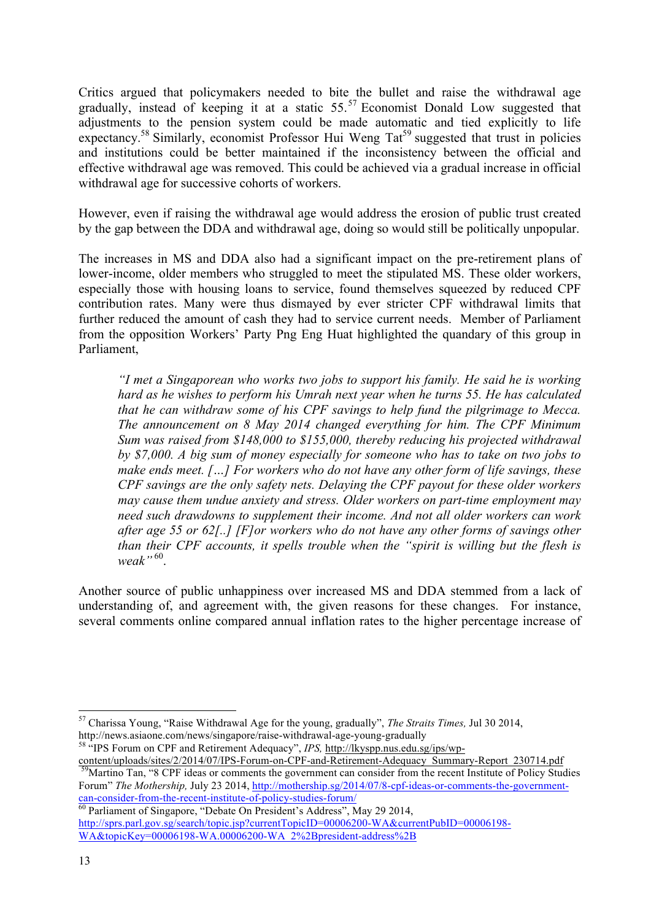Critics argued that policymakers needed to bite the bullet and raise the withdrawal age gradually, instead of keeping it at a static  $55$ .<sup>57</sup> Economist Donald Low suggested that adjustments to the pension system could be made automatic and tied explicitly to life expectancy.<sup>58</sup> Similarly, economist Professor Hui Weng Tat<sup>59</sup> suggested that trust in policies and institutions could be better maintained if the inconsistency between the official and effective withdrawal age was removed. This could be achieved via a gradual increase in official withdrawal age for successive cohorts of workers.

However, even if raising the withdrawal age would address the erosion of public trust created by the gap between the DDA and withdrawal age, doing so would still be politically unpopular.

The increases in MS and DDA also had a significant impact on the pre-retirement plans of lower-income, older members who struggled to meet the stipulated MS. These older workers, especially those with housing loans to service, found themselves squeezed by reduced CPF contribution rates. Many were thus dismayed by ever stricter CPF withdrawal limits that further reduced the amount of cash they had to service current needs. Member of Parliament from the opposition Workers' Party Png Eng Huat highlighted the quandary of this group in Parliament,

*"I met a Singaporean who works two jobs to support his family. He said he is working hard as he wishes to perform his Umrah next year when he turns 55. He has calculated that he can withdraw some of his CPF savings to help fund the pilgrimage to Mecca. The announcement on 8 May 2014 changed everything for him. The CPF Minimum Sum was raised from \$148,000 to \$155,000, thereby reducing his projected withdrawal by \$7,000. A big sum of money especially for someone who has to take on two jobs to make ends meet. […] For workers who do not have any other form of life savings, these CPF savings are the only safety nets. Delaying the CPF payout for these older workers may cause them undue anxiety and stress. Older workers on part-time employment may need such drawdowns to supplement their income. And not all older workers can work after age 55 or 62[..] [F]or workers who do not have any other forms of savings other than their CPF accounts, it spells trouble when the "spirit is willing but the flesh is weak*".<sup>60</sup>.

Another source of public unhappiness over increased MS and DDA stemmed from a lack of understanding of, and agreement with, the given reasons for these changes. For instance, several comments online compared annual inflation rates to the higher percentage increase of

http://news.asiaone.com/news/singapore/raise-withdrawal-age-young-gradually<br><sup>58</sup> "IPS Forum on CPF and Retirement Adequacy", *IPS*, <u>http://lkyspp.nus.edu.sg/ips/wp-</u><br>content/uploads/sites/2/2014/07/IPS-Forum-on-CPF-and-Re  $\overline{P}^9$ Martino Tan, "8 CPF ideas or comments the government can consider from the recent Institute of Policy Studies Forum" *The Mothership,* July 23 2014, http://mothership.sg/2014/07/8-cpf-ideas-or-comments-the-government-

can-consider-from-the-recent-institute-of-policy-studies-forum/<br><sup>60</sup> Parliament of Singapore, "Debate On President's Address", May 29 2014, http://sprs.parl.gov.sg/search/topic.jsp?currentTopicID=00006200-WA&currentPubID=00006198-WA&topicKey=00006198-WA.00006200-WA\_2%2Bpresident-address%2B

<sup>57</sup> Charissa Young, "Raise Withdrawal Age for the young, gradually", *The Straits Times,* Jul 30 2014,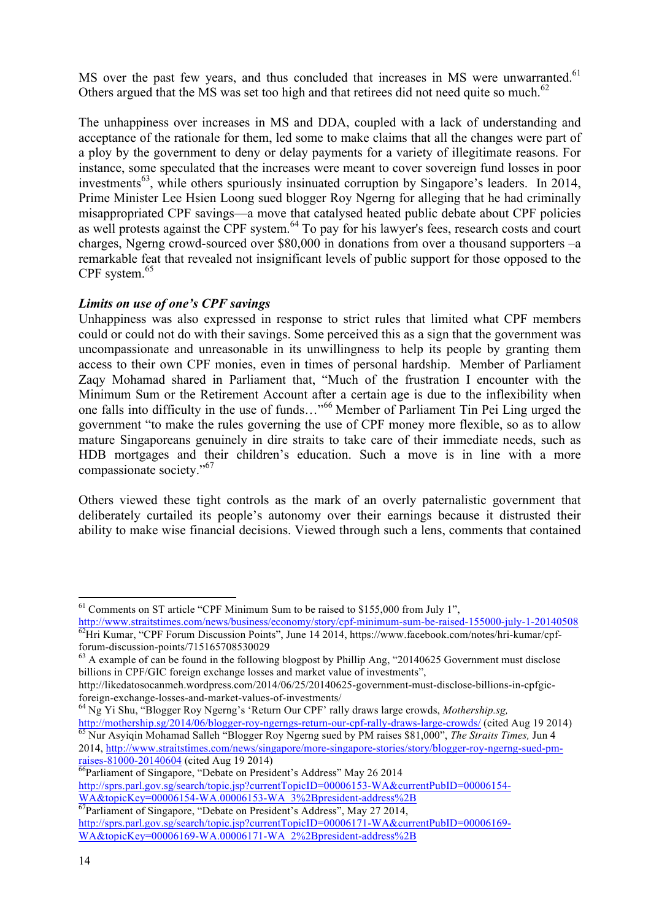MS over the past few years, and thus concluded that increases in MS were unwarranted.<sup>61</sup> Others argued that the MS was set too high and that retirees did not need quite so much.<sup>62</sup>

The unhappiness over increases in MS and DDA, coupled with a lack of understanding and acceptance of the rationale for them, led some to make claims that all the changes were part of a ploy by the government to deny or delay payments for a variety of illegitimate reasons. For instance, some speculated that the increases were meant to cover sovereign fund losses in poor investments<sup>63</sup>, while others spuriously insinuated corruption by Singapore's leaders. In 2014, Prime Minister Lee Hsien Loong sued blogger Roy Ngerng for alleging that he had criminally misappropriated CPF savings—a move that catalysed heated public debate about CPF policies as well protests against the CPF system.<sup>64</sup> To pay for his lawyer's fees, research costs and court charges, Ngerng crowd-sourced over \$80,000 in donations from over a thousand supporters –a remarkable feat that revealed not insignificant levels of public support for those opposed to the CPF system. 65

#### *Limits on use of one's CPF savings*

<u> 1989 - Jan Samuel Barbara, margaret e</u>

Unhappiness was also expressed in response to strict rules that limited what CPF members could or could not do with their savings. Some perceived this as a sign that the government was uncompassionate and unreasonable in its unwillingness to help its people by granting them access to their own CPF monies, even in times of personal hardship. Member of Parliament Zaqy Mohamad shared in Parliament that, "Much of the frustration I encounter with the Minimum Sum or the Retirement Account after a certain age is due to the inflexibility when one falls into difficulty in the use of funds…" <sup>66</sup> Member of Parliament Tin Pei Ling urged the government "to make the rules governing the use of CPF money more flexible, so as to allow mature Singaporeans genuinely in dire straits to take care of their immediate needs, such as HDB mortgages and their children's education. Such a move is in line with a more compassionate society."67

Others viewed these tight controls as the mark of an overly paternalistic government that deliberately curtailed its people's autonomy over their earnings because it distrusted their ability to make wise financial decisions. Viewed through such a lens, comments that contained

 $<sup>61</sup>$  Comments on ST article "CPF Minimum Sum to be raised to \$155,000 from July 1",</sup>

http://www.straitstimes.com/news/business/economy/story/cpf-minimum-sum-be-raised-155000-july-1-20140508 <sup>62</sup>Hri Kumar, "CPF Forum Discussion Points", June 14 2014, https://www.facebook.com/notes/hri-kumar/cpf-

forum-discussion-points/715165708530029<br><sup>63</sup> A example of can be found in the following blogpost by Phillip Ang, "20140625 Government must disclose billions in CPF/GIC foreign exchange losses and market value of investments",

http://likedatosocanmeh.wordpress.com/2014/06/25/20140625-government-must-disclose-billions-in-cpfgicforeign-exchange-losses-and-market-values-of-investments/ <sup>64</sup> Ng Yi Shu, "Blogger Roy Ngerng's 'Return Our CPF' rally draws large crowds, *Mothership.sg,*

http://mothership.sg/2014/06/blogger-roy-ngerngs-return-our-cpf-rally-draws-large-crowds/ (cited Aug 19 2014) 65 Nur Asyiqin Mohamad Salleh "Blogger Roy Ngerng sued by PM raises \$81,000", *The Straits Times,* Jun 4 2014, http://www.straitstimes.com/news/singapore/more-singapore-stories/story/blogger-roy-ngerng-sued-pmraises-81000-20140604 (cited Aug 19 2014)<br>
<sup>66</sup>Parliament of Singapore, "Debate on President's Address" May 26 2014

http://sprs.parl.gov.sg/search/topic.jsp?currentTopicID=00006153-WA&currentPubID=00006154-<br>WA&topicKey=00006154-WA.00006153-WA 3%2Bpresident-address%2B

 $\overline{67}$ Parliament of Singapore, "Debate on President's Address", May 27 2014, http://sprs.parl.gov.sg/search/topic.jsp?currentTopicID=00006171-WA&currentPubID=00006169-WA&topicKey=00006169-WA.00006171-WA\_2%2Bpresident-address%2B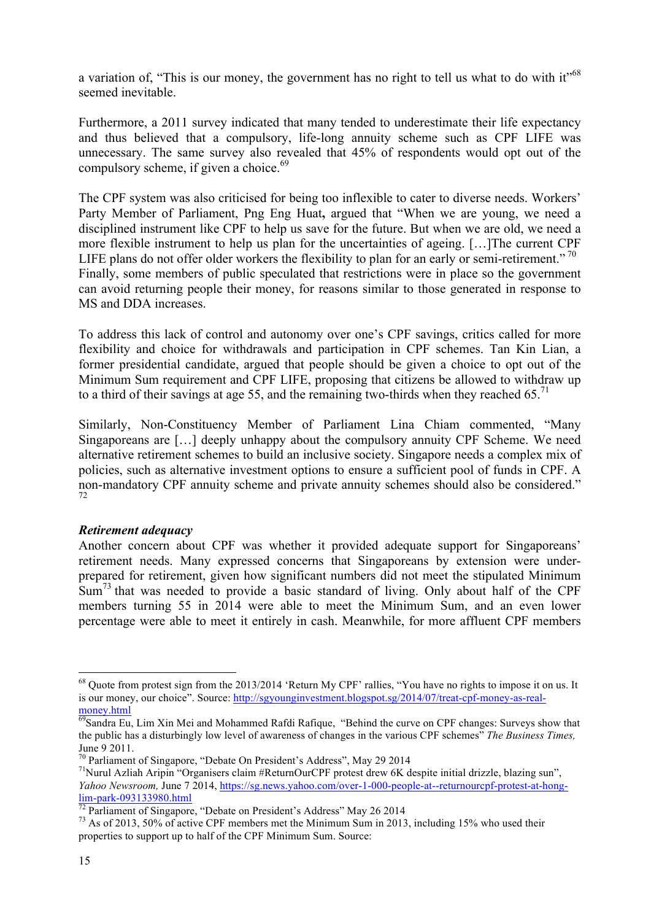a variation of, "This is our money, the government has no right to tell us what to do with it"<sup>68</sup> seemed inevitable.

Furthermore, a 2011 survey indicated that many tended to underestimate their life expectancy and thus believed that a compulsory, life-long annuity scheme such as CPF LIFE was unnecessary. The same survey also revealed that 45% of respondents would opt out of the compulsory scheme, if given a choice. $69$ 

The CPF system was also criticised for being too inflexible to cater to diverse needs. Workers' Party Member of Parliament, Png Eng Huat**,** argued that "When we are young, we need a disciplined instrument like CPF to help us save for the future. But when we are old, we need a more flexible instrument to help us plan for the uncertainties of ageing. […]The current CPF LIFE plans do not offer older workers the flexibility to plan for an early or semi-retirement."<sup>70</sup> Finally, some members of public speculated that restrictions were in place so the government can avoid returning people their money, for reasons similar to those generated in response to MS and DDA increases.

To address this lack of control and autonomy over one's CPF savings, critics called for more flexibility and choice for withdrawals and participation in CPF schemes. Tan Kin Lian, a former presidential candidate, argued that people should be given a choice to opt out of the Minimum Sum requirement and CPF LIFE, proposing that citizens be allowed to withdraw up to a third of their savings at age 55, and the remaining two-thirds when they reached 65.<sup>71</sup>

Similarly, Non-Constituency Member of Parliament Lina Chiam commented, "Many Singaporeans are […] deeply unhappy about the compulsory annuity CPF Scheme. We need alternative retirement schemes to build an inclusive society. Singapore needs a complex mix of policies, such as alternative investment options to ensure a sufficient pool of funds in CPF. A non-mandatory CPF annuity scheme and private annuity schemes should also be considered." 72

#### *Retirement adequacy*

<u> 1989 - Jan Samuel Barbara, margaret e</u>

Another concern about CPF was whether it provided adequate support for Singaporeans' retirement needs. Many expressed concerns that Singaporeans by extension were underprepared for retirement, given how significant numbers did not meet the stipulated Minimum  $Sum<sup>73</sup>$  that was needed to provide a basic standard of living. Only about half of the CPF members turning 55 in 2014 were able to meet the Minimum Sum, and an even lower percentage were able to meet it entirely in cash. Meanwhile, for more affluent CPF members

 $^{68}$  Quote from protest sign from the 2013/2014 'Return My CPF' rallies, "You have no rights to impose it on us. It is our money, our choice". Source: http://sgyounginvestment.blogspot.sg/2014/07/treat-cpf-money-as-realmoney.html

<sup>69</sup>Sandra Eu, Lim Xin Mei and Mohammed Rafdi Rafique, "Behind the curve on CPF changes: Surveys show that the public has a disturbingly low level of awareness of changes in the various CPF schemes" *The Business Times,* 

June 9 2011.<br><sup>70</sup> Parliament of Singapore, "Debate On President's Address", May 29 2014

<sup>&</sup>lt;sup>71</sup> Nurul Azliah Aripin "Organisers claim #ReturnOurCPF protest drew 6K despite initial drizzle, blazing sun", *Yahoo Newsroom,* June 7 2014, https://sg.news.yahoo.com/over-1-000-people-at--returnourcpf-protest-at-hong- $\frac{\text{lim-park-093133980.html}}{72}$  Parliament of Singapore, "Debate on President's Address" May 26 2014<br>  $\frac{73}{12}$  As of 2013, 50% of active CPF members met the Minimum Sum in 2013, including 15% who used their

properties to support up to half of the CPF Minimum Sum. Source: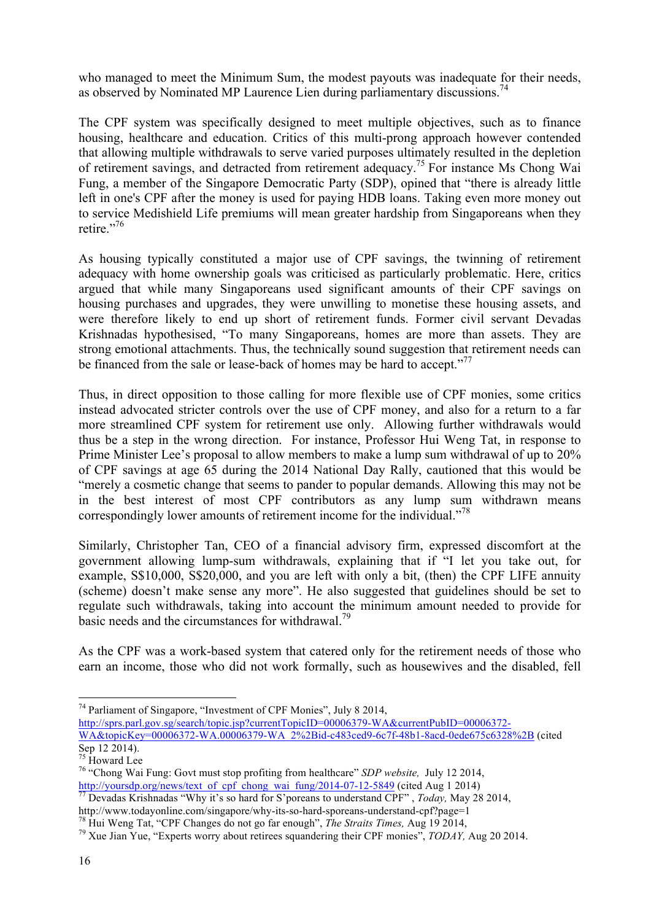who managed to meet the Minimum Sum, the modest payouts was inadequate for their needs, as observed by Nominated MP Laurence Lien during parliamentary discussions.<sup>74</sup>

The CPF system was specifically designed to meet multiple objectives, such as to finance housing, healthcare and education. Critics of this multi-prong approach however contended that allowing multiple withdrawals to serve varied purposes ultimately resulted in the depletion of retirement savings, and detracted from retirement adequacy.75 For instance Ms Chong Wai Fung, a member of the Singapore Democratic Party (SDP), opined that "there is already little left in one's CPF after the money is used for paying HDB loans. Taking even more money out to service Medishield Life premiums will mean greater hardship from Singaporeans when they retire."<sup>76</sup>

As housing typically constituted a major use of CPF savings, the twinning of retirement adequacy with home ownership goals was criticised as particularly problematic. Here, critics argued that while many Singaporeans used significant amounts of their CPF savings on housing purchases and upgrades, they were unwilling to monetise these housing assets, and were therefore likely to end up short of retirement funds. Former civil servant Devadas Krishnadas hypothesised, "To many Singaporeans, homes are more than assets. They are strong emotional attachments. Thus, the technically sound suggestion that retirement needs can be financed from the sale or lease-back of homes may be hard to accept."<sup>77</sup>

Thus, in direct opposition to those calling for more flexible use of CPF monies, some critics instead advocated stricter controls over the use of CPF money, and also for a return to a far more streamlined CPF system for retirement use only. Allowing further withdrawals would thus be a step in the wrong direction. For instance, Professor Hui Weng Tat, in response to Prime Minister Lee's proposal to allow members to make a lump sum withdrawal of up to 20% of CPF savings at age 65 during the 2014 National Day Rally, cautioned that this would be "merely a cosmetic change that seems to pander to popular demands. Allowing this may not be in the best interest of most CPF contributors as any lump sum withdrawn means correspondingly lower amounts of retirement income for the individual."<sup>78</sup>

Similarly, Christopher Tan, CEO of a financial advisory firm, expressed discomfort at the government allowing lump-sum withdrawals, explaining that if "I let you take out, for example, S\$10,000, S\$20,000, and you are left with only a bit, (then) the CPF LIFE annuity (scheme) doesn't make sense any more". He also suggested that guidelines should be set to regulate such withdrawals, taking into account the minimum amount needed to provide for basic needs and the circumstances for withdrawal.<sup>79</sup>

As the CPF was a work-based system that catered only for the retirement needs of those who earn an income, those who did not work formally, such as housewives and the disabled, fell

http://sprs.parl.gov.sg/search/topic.jsp?currentTopicID=00006379-WA&currentPubID=00006372-

 

 $74$  Parliament of Singapore, "Investment of CPF Monies", July 8 2014,

WA&topicKey=00006372-WA.00006379-WA\_2%2Bid-c483ced9-6c7f-48b1-8acd-0ede675c6328%2B (cited Sep 12 2014).<br><sup>75</sup> Howard Lee

<sup>&</sup>lt;sup>76</sup> "Chong Wai Fung: Govt must stop profiting from healthcare" *SDP website*, July 12 2014, http://yoursdp.org/news/text of cpf chong wai fung/2014-07-12-5849 (cited Aug 1 2014)

http://www.todayonline.com/singapore/why-its-so-hard-sporeans-understand CPF", *Today*, May 28 2014, http://www.todayonline.com/singapore/why-its-so-hard-sporeans-understand-cpf?page=1

<sup>&</sup>lt;sup>78</sup> Hui Weng Tat, "CPF Changes do not go far enough", *The Straits Times*, Aug 19 2014,<br><sup>79</sup> Xue Jian Yue, "Experts worry about retirees squandering their CPF monies", *TODAY*, Aug 20 2014.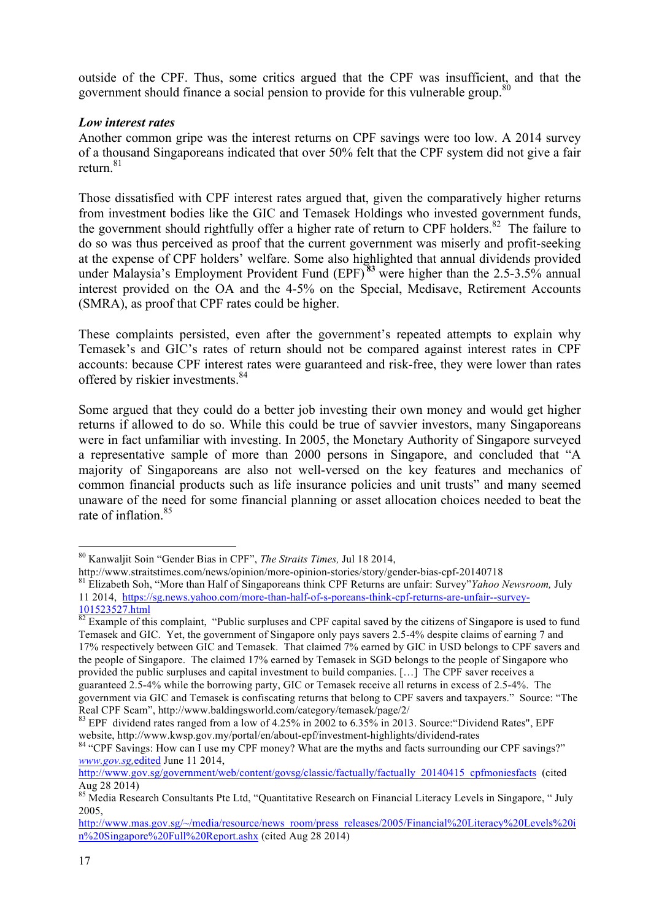outside of the CPF. Thus, some critics argued that the CPF was insufficient, and that the government should finance a social pension to provide for this vulnerable group.<sup>80</sup>

#### *Low interest rates*

Another common gripe was the interest returns on CPF savings were too low. A 2014 survey of a thousand Singaporeans indicated that over 50% felt that the CPF system did not give a fair return $81$ 

Those dissatisfied with CPF interest rates argued that, given the comparatively higher returns from investment bodies like the GIC and Temasek Holdings who invested government funds, the government should rightfully offer a higher rate of return to CPF holders. $82$  The failure to do so was thus perceived as proof that the current government was miserly and profit-seeking at the expense of CPF holders' welfare. Some also highlighted that annual dividends provided under Malaysia's Employment Provident Fund (EPF) **<sup>83</sup>** were higher than the 2.5-3.5% annual interest provided on the OA and the 4-5% on the Special, Medisave, Retirement Accounts (SMRA), as proof that CPF rates could be higher.

These complaints persisted, even after the government's repeated attempts to explain why Temasek's and GIC's rates of return should not be compared against interest rates in CPF accounts: because CPF interest rates were guaranteed and risk-free, they were lower than rates offered by riskier investments.<sup>84</sup>

Some argued that they could do a better job investing their own money and would get higher returns if allowed to do so. While this could be true of savvier investors, many Singaporeans were in fact unfamiliar with investing. In 2005, the Monetary Authority of Singapore surveyed a representative sample of more than 2000 persons in Singapore, and concluded that "A majority of Singaporeans are also not well-versed on the key features and mechanics of common financial products such as life insurance policies and unit trusts" and many seemed unaware of the need for some financial planning or asset allocation choices needed to beat the rate of inflation. 85

 

<sup>80</sup> Kanwaljit Soin "Gender Bias in CPF", *The Straits Times,* Jul 18 2014,

http://www.straitstimes.com/news/opinion/more-opinion-stories/story/gender-bias-cpf-20140718 <sup>81</sup> Elizabeth Soh, "More than Half of Singaporeans think CPF Returns are unfair: Survey"*Yahoo Newsroom,* July 11 2014, https://sg.news.yahoo.com/more-than-half-of-s-poreans-think-cpf-returns-are-unfair--survey-

<sup>101523527.</sup>html 82 Example of this complaint, "Public surpluses and CPF capital saved by the citizens of Singapore is used to fund Temasek and GIC. Yet, the government of Singapore only pays savers 2.5-4% despite claims of earning 7 and 17% respectively between GIC and Temasek. That claimed 7% earned by GIC in USD belongs to CPF savers and the people of Singapore. The claimed 17% earned by Temasek in SGD belongs to the people of Singapore who provided the public surpluses and capital investment to build companies. […] The CPF saver receives a guaranteed 2.5-4% while the borrowing party, GIC or Temasek receive all returns in excess of 2.5-4%. The government via GIC and Temasek is confiscating returns that belong to CPF savers and taxpayers." Source: "The

Real CPF Scam", http://www.baldingsworld.com/category/temasek/page/2/<br><sup>83</sup> EPF dividend rates ranged from a low of 4.25% in 2002 to 6.35% in 2013. Source: "Dividend Rates", EPF<br>website, http://www.kwsp.gov.my/portal/en/abo

<sup>&</sup>lt;sup>84</sup> "CPF Savings: How can I use my CPF money? What are the myths and facts surrounding our CPF savings?" *www.gov.sg,*edited June 11 2014,

http://www.gov.sg/government/web/content/govsg/classic/factually/factually 20140415 cpfmoniesfacts (cited Aug 28 2014)

<sup>&</sup>lt;sup>85</sup> Media Research Consultants Pte Ltd, "Quantitative Research on Financial Literacy Levels in Singapore, " July 2005,

http://www.mas.gov.sg/~/media/resource/news\_room/press\_releases/2005/Financial%20Literacy%20Levels%20i n%20Singapore%20Full%20Report.ashx (cited Aug 28 2014)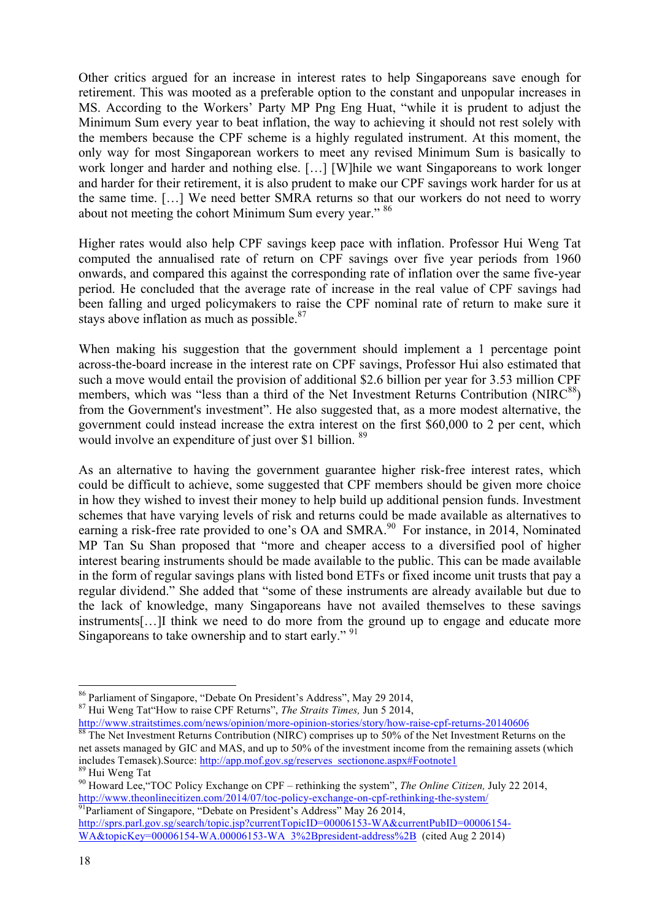Other critics argued for an increase in interest rates to help Singaporeans save enough for retirement. This was mooted as a preferable option to the constant and unpopular increases in MS. According to the Workers' Party MP Png Eng Huat, "while it is prudent to adjust the Minimum Sum every year to beat inflation, the way to achieving it should not rest solely with the members because the CPF scheme is a highly regulated instrument. At this moment, the only way for most Singaporean workers to meet any revised Minimum Sum is basically to work longer and harder and nothing else. […] [W]hile we want Singaporeans to work longer and harder for their retirement, it is also prudent to make our CPF savings work harder for us at the same time. […] We need better SMRA returns so that our workers do not need to worry about not meeting the cohort Minimum Sum every year." 86

Higher rates would also help CPF savings keep pace with inflation. Professor Hui Weng Tat computed the annualised rate of return on CPF savings over five year periods from 1960 onwards, and compared this against the corresponding rate of inflation over the same five-year period. He concluded that the average rate of increase in the real value of CPF savings had been falling and urged policymakers to raise the CPF nominal rate of return to make sure it stays above inflation as much as possible.<sup>87</sup>

When making his suggestion that the government should implement a 1 percentage point across-the-board increase in the interest rate on CPF savings, Professor Hui also estimated that such a move would entail the provision of additional \$2.6 billion per year for 3.53 million CPF members, which was "less than a third of the Net Investment Returns Contribution (NIR $C^{88}$ ) from the Government's investment". He also suggested that, as a more modest alternative, the government could instead increase the extra interest on the first \$60,000 to 2 per cent, which would involve an expenditure of just over \$1 billion. <sup>89</sup>

As an alternative to having the government guarantee higher risk-free interest rates, which could be difficult to achieve, some suggested that CPF members should be given more choice in how they wished to invest their money to help build up additional pension funds. Investment schemes that have varying levels of risk and returns could be made available as alternatives to earning a risk-free rate provided to one's OA and SMRA.<sup>90</sup> For instance, in 2014, Nominated MP Tan Su Shan proposed that "more and cheaper access to a diversified pool of higher interest bearing instruments should be made available to the public. This can be made available in the form of regular savings plans with listed bond ETFs or fixed income unit trusts that pay a regular dividend." She added that "some of these instruments are already available but due to the lack of knowledge, many Singaporeans have not availed themselves to these savings instruments[…]I think we need to do more from the ground up to engage and educate more Singaporeans to take ownership and to start early." <sup>91</sup>

http://www.straitstimes.com/news/opinion/more-opinion-stories/story/how-raise-cpf-returns-20140606 88 The Net Investment Returns Contribution (NIRC) comprises up to 50% of the Net Investment Returns on the net assets managed by GIC and MAS, and up to 50% of the investment income from the remaining assets (which includes Temasek). Source: http://app.mof.gov.sg/reserves sectionone.aspx#Footnote1

<sup>86</sup> Parliament of Singapore, "Debate On President's Address", May 29 2014, 87 Hui Weng Tat"How to raise CPF Returns", *The Straits Times,* Jun 5 2014,

<sup>&</sup>lt;sup>89</sup> Hui Weng Tat <sup>90</sup> Howard Lee, "TOC Policy Exchange on CPF – rethinking the system", *The Online Citizen*, July 22 2014, http://www.theonlinecitizen.com/2014/07/toc-policy-exchange-on-cpf-rethinking-the-system/<br><sup>91</sup>Parliament of Singapore, "Debate on President's Address" May 26 2014,

http://sprs.parl.gov.sg/search/topic.jsp?currentTopicID=00006153-WA&currentPubID=00006154-WA&topicKey=00006154-WA.00006153-WA\_3%2Bpresident-address%2B (cited Aug 2 2014)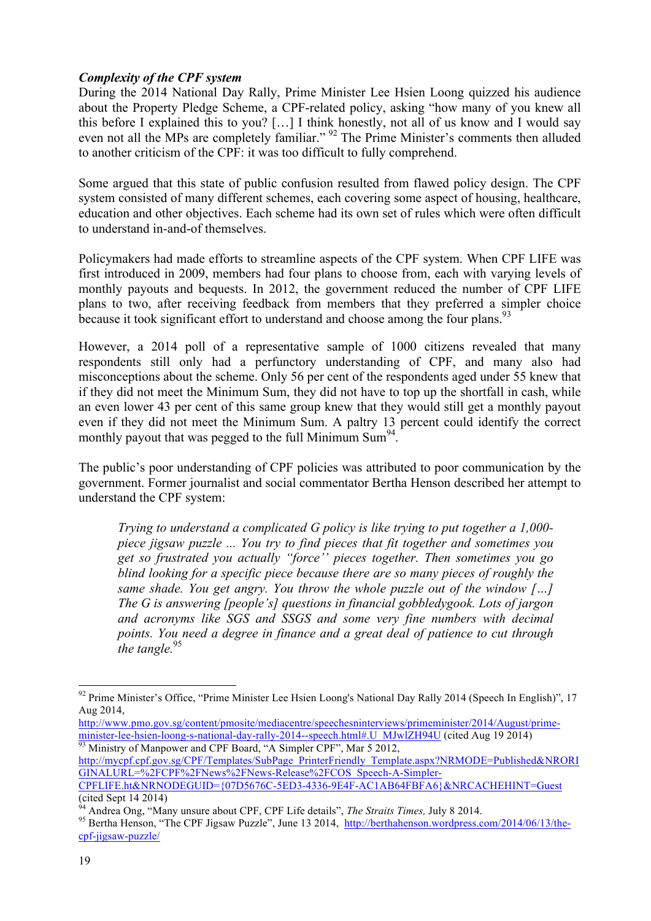#### *Complexity of the CPF system*

During the 2014 National Day Rally, Prime Minister Lee Hsien Loong quizzed his audience about the Property Pledge Scheme, a CPF-related policy, asking "how many of you knew all this before I explained this to you? […] I think honestly, not all of us know and I would say even not all the MPs are completely familiar." <sup>92</sup> The Prime Minister's comments then alluded to another criticism of the CPF: it was too difficult to fully comprehend.

Some argued that this state of public confusion resulted from flawed policy design. The CPF system consisted of many different schemes, each covering some aspect of housing, healthcare, education and other objectives. Each scheme had its own set of rules which were often difficult to understand in-and-of themselves.

Policymakers had made efforts to streamline aspects of the CPF system. When CPF LIFE was first introduced in 2009, members had four plans to choose from, each with varying levels of monthly payouts and bequests. In 2012, the government reduced the number of CPF LIFE plans to two, after receiving feedback from members that they preferred a simpler choice because it took significant effort to understand and choose among the four plans.<sup>93</sup>

However, a 2014 poll of a representative sample of 1000 citizens revealed that many respondents still only had a perfunctory understanding of CPF, and many also had misconceptions about the scheme. Only 56 per cent of the respondents aged under 55 knew that if they did not meet the Minimum Sum, they did not have to top up the shortfall in cash, while an even lower 43 per cent of this same group knew that they would still get a monthly payout even if they did not meet the Minimum Sum. A paltry 13 percent could identify the correct monthly payout that was pegged to the full Minimum Sum<sup>94</sup>.

The public's poor understanding of CPF policies was attributed to poor communication by the government. Former journalist and social commentator Bertha Henson described her attempt to understand the CPF system:

*Trying to understand a complicated G policy is like trying to put together a 1,000 piece jigsaw puzzle ... You try to find pieces that fit together and sometimes you get so frustrated you actually "force'' pieces together. Then sometimes you go blind looking for a specific piece because there are so many pieces of roughly the same shade. You get angry. You throw the whole puzzle out of the window […] The G is answering [people's] questions in financial gobbledygook. Lots of jargon and acronyms like SGS and SSGS and some very fine numbers with decimal points. You need a degree in finance and a great deal of patience to cut through the tangle.*<sup>95</sup>

<sup>&</sup>lt;sup>92</sup> Prime Minister's Office, "Prime Minister Lee Hsien Loong's National Day Rally 2014 (Speech In English)", 17 Aug 2014,

http://www.pmo.gov.sg/content/pmosite/mediacentre/speechesninterviews/primeminister/2014/August/primeminister-lee-hsien-loong-s-national-day-rally-2014--speech.html#.U\_MJwlZH94U (cited Aug 19 2014)

http://mycpf.cpf.gov.sg/CPF/Templates/SubPage\_PrinterFriendly\_Template.aspx?NRMODE=Published&NRORI GINALURL=%2FCPF%2FNews%2FNews-Release%2FCOS\_Speech-A-Simpler-

CPFLIFE.ht&NRNODEGUID={07D5676C-5ED3-4336-9E4F-AC1AB64FBFA6}&NRCACHEHINT=Guest<br>(cited Sept 14 2014)<br>24 Acres 2014

<sup>&</sup>lt;sup>94</sup> Andrea Ong, "Many unsure about CPF, CPF Life details", *The Straits Times*, July 8 2014.<br><sup>95</sup> Bertha Henson, "The CPF Jigsaw Puzzle", June 13 2014, http://berthahenson.wordpress.com/2014/06/13/thecpf-jigsaw-puzzle/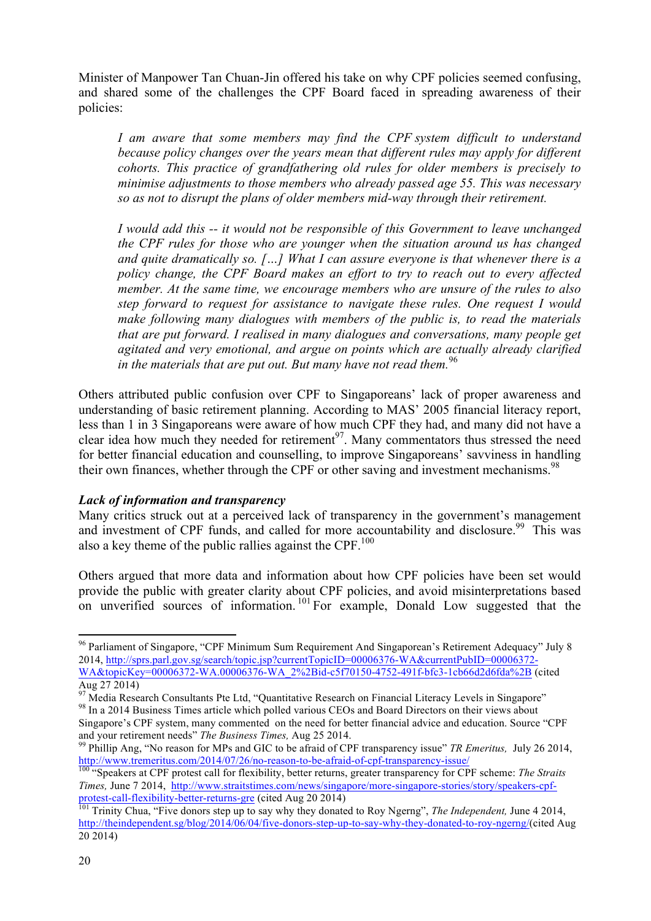Minister of Manpower Tan Chuan-Jin offered his take on why CPF policies seemed confusing, and shared some of the challenges the CPF Board faced in spreading awareness of their policies:

*I am aware that some members may find the CPF system difficult to understand because policy changes over the years mean that different rules may apply for different cohorts. This practice of grandfathering old rules for older members is precisely to minimise adjustments to those members who already passed age 55. This was necessary so as not to disrupt the plans of older members mid-way through their retirement.*

*I would add this -- it would not be responsible of this Government to leave unchanged the CPF rules for those who are younger when the situation around us has changed and quite dramatically so. […] What I can assure everyone is that whenever there is a policy change, the CPF Board makes an effort to try to reach out to every affected member. At the same time, we encourage members who are unsure of the rules to also step forward to request for assistance to navigate these rules. One request I would make following many dialogues with members of the public is, to read the materials that are put forward. I realised in many dialogues and conversations, many people get agitated and very emotional, and argue on points which are actually already clarified in the materials that are put out. But many have not read them.*<sup>96</sup>

Others attributed public confusion over CPF to Singaporeans' lack of proper awareness and understanding of basic retirement planning. According to MAS' 2005 financial literacy report, less than 1 in 3 Singaporeans were aware of how much CPF they had, and many did not have a clear idea how much they needed for retirement<sup>97</sup>. Many commentators thus stressed the need for better financial education and counselling, to improve Singaporeans' savviness in handling their own finances, whether through the CPF or other saving and investment mechanisms.<sup>98</sup>

#### *Lack of information and transparency*

<u> 1989 - Jan Samuel Barbara, margaret e</u>

Many critics struck out at a perceived lack of transparency in the government's management and investment of CPF funds, and called for more accountability and disclosure.<sup>99</sup> This was also a key theme of the public rallies against the CPF. $100$ 

Others argued that more data and information about how CPF policies have been set would provide the public with greater clarity about CPF policies, and avoid misinterpretations based on unverified sources of information.<sup>101</sup> For example, Donald Low suggested that the

<sup>&</sup>lt;sup>96</sup> Parliament of Singapore, "CPF Minimum Sum Requirement And Singaporean's Retirement Adequacy" July 8 2014, http://sprs.parl.gov.sg/search/topic.jsp?currentTopicID=00006376-WA&currentPubID=00006372-WA&topicKey=00006372-WA.00006376-WA\_2%2Bid-c5f70150-4752-491f-bfc3-1cb66d2d6fda%2B (cited Aug 27 2014)

<sup>&</sup>lt;sup>97</sup> Media Research Consultants Pte Ltd, "Quantitative Research on Financial Literacy Levels in Singapore" In a 2014 Business Times article which polled various CEOs and Board Directors on their views about

Singapore's CPF system, many commented on the need for better financial advice and education. Source "CPF and your retirement needs" The Business Times, Aug 25 2014.

<sup>&</sup>lt;sup>99</sup> Phillip Ang, "No reason for MPs and GIC to be afraid of CPF transparency issue" *TR Emeritus*, July 26 2014, http://www.tremeritus.com/2014/07/26/no-reason-to-be-afraid-of-cpf-transparency-issue/

<sup>&</sup>lt;sup>100</sup> "Speakers at CPF protest call for flexibility, better returns, greater transparency for CPF scheme: *The Straits Times,* June 7 2014, http://www.straitstimes.com/news/singapore/more-singapore-stories/story/speakers-cpfprotest-call-flexibility-better-returns-gre (cited Aug 20 2014) <sup>101</sup> Trinity Chua, "Five donors step up to say why they donated to Roy Ngerng", *The Independent,* June 4 2014,

http://theindependent.sg/blog/2014/06/04/five-donors-step-up-to-say-why-they-donated-to-roy-ngerng/(cited Aug 20 2014)